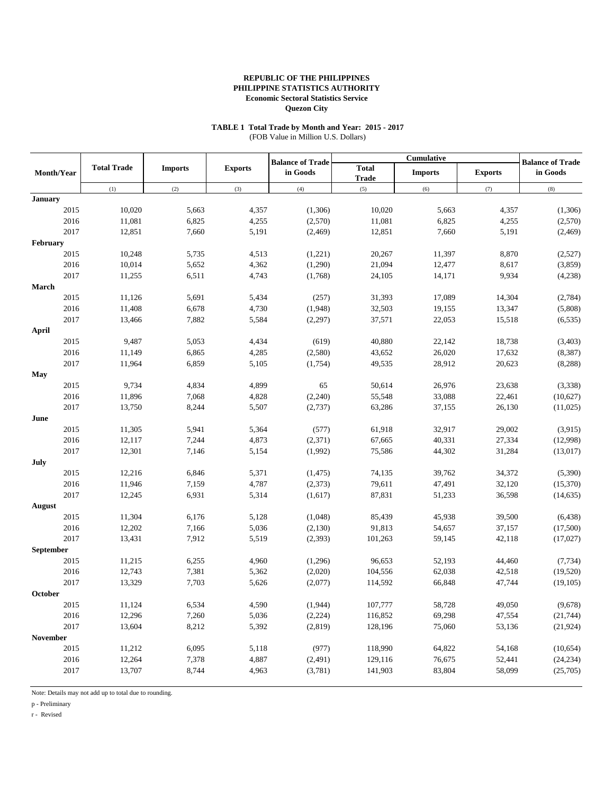#### **TABLE 1 Total Trade by Month and Year: 2015 - 2017** (FOB Value in Million U.S. Dollars)

|                |                    |                |                |                                     |                              | Cumulative       |                  | <b>Balance of Trade</b> |  |
|----------------|--------------------|----------------|----------------|-------------------------------------|------------------------------|------------------|------------------|-------------------------|--|
| Month/Year     | <b>Total Trade</b> | <b>Imports</b> | <b>Exports</b> | <b>Balance of Trade</b><br>in Goods | <b>Total</b><br><b>Trade</b> | <b>Imports</b>   | <b>Exports</b>   | in Goods                |  |
|                | (1)                | (2)            | (3)            | (4)                                 | (5)                          | (6)              | (7)              | (8)                     |  |
| <b>January</b> |                    |                |                |                                     |                              |                  |                  |                         |  |
| 2015           | 10,020             | 5,663          | 4,357          | (1,306)                             | 10,020                       | 5,663            | 4,357            | (1,306)                 |  |
| 2016           | 11,081             | 6,825          | 4,255          | (2,570)                             | 11,081                       | 6,825            | 4,255            | (2,570)                 |  |
| 2017           | 12,851             | 7,660          | 5,191          | (2, 469)                            | 12,851                       | 7,660            | 5,191            | (2, 469)                |  |
| February       |                    |                |                |                                     |                              |                  |                  |                         |  |
| 2015           | 10,248             | 5,735          | 4,513          | (1,221)                             | 20,267                       | 11,397           | 8,870            | (2,527)                 |  |
| 2016           | 10,014             | 5,652          | 4,362          | (1,290)                             | 21,094                       | 12,477           | 8,617            | (3,859)                 |  |
| 2017           | 11,255             | 6,511          | 4,743          | (1,768)                             | 24,105                       | 14,171           | 9,934            | (4,238)                 |  |
| March          |                    |                |                |                                     |                              |                  |                  |                         |  |
| 2015           | 11,126             | 5,691          | 5,434          | (257)                               | 31,393                       | 17,089           | 14,304           | (2,784)                 |  |
| 2016           | 11,408             | 6,678          | 4,730          | (1,948)                             | 32,503                       | 19,155           | 13,347           | (5,808)                 |  |
| 2017           | 13,466             | 7,882          | 5,584          | (2,297)                             | 37,571                       | 22,053           | 15,518           | (6, 535)                |  |
| April          |                    |                |                |                                     |                              |                  |                  |                         |  |
| 2015<br>2016   | 9,487              | 5,053          | 4,434          | (619)<br>(2,580)                    | 40,880                       | 22,142<br>26,020 | 18,738           | (3,403)                 |  |
| 2017           | 11,149<br>11,964   | 6,865          | 4,285          |                                     | 43,652<br>49,535             |                  | 17,632<br>20,623 | (8, 387)                |  |
|                |                    | 6,859          | 5,105          | (1,754)                             |                              | 28,912           |                  | (8, 288)                |  |
| May<br>2015    | 9,734              | 4,834          | 4,899          | 65                                  | 50,614                       | 26,976           | 23,638           | (3,338)                 |  |
| 2016           | 11,896             | 7,068          | 4,828          | (2,240)                             | 55,548                       | 33,088           | 22,461           | (10,627)                |  |
| 2017           | 13,750             | 8,244          | 5,507          | (2,737)                             | 63,286                       | 37,155           | 26,130           | (11,025)                |  |
| June           |                    |                |                |                                     |                              |                  |                  |                         |  |
| 2015           | 11,305             | 5,941          | 5,364          | (577)                               | 61,918                       | 32,917           | 29,002           | (3,915)                 |  |
| 2016           | 12,117             | 7,244          | 4,873          | (2,371)                             | 67,665                       | 40,331           | 27,334           | (12,998)                |  |
| 2017           | 12,301             | 7,146          | 5,154          | (1,992)                             | 75,586                       | 44,302           | 31,284           | (13,017)                |  |
| July           |                    |                |                |                                     |                              |                  |                  |                         |  |
| 2015           | 12,216             | 6,846          | 5,371          | (1, 475)                            | 74,135                       | 39,762           | 34,372           | (5,390)                 |  |
| 2016           | 11,946             | 7,159          | 4,787          | (2,373)                             | 79,611                       | 47,491           | 32,120           | (15,370)                |  |
| 2017           | 12,245             | 6,931          | 5,314          | (1,617)                             | 87,831                       | 51,233           | 36,598           | (14, 635)               |  |
| <b>August</b>  |                    |                |                |                                     |                              |                  |                  |                         |  |
| 2015           | 11,304             | 6,176          | 5,128          | (1,048)                             | 85,439                       | 45,938           | 39,500           | (6, 438)                |  |
| 2016           | 12,202             | 7,166          | 5,036          | (2,130)                             | 91,813                       | 54,657           | 37,157           | (17,500)                |  |
| 2017           | 13,431             | 7,912          | 5,519          | (2, 393)                            | 101,263                      | 59,145           | 42,118           | (17, 027)               |  |
| September      |                    |                |                |                                     |                              |                  |                  |                         |  |
| 2015           | 11,215             | 6,255          | 4,960          | (1,296)                             | 96,653                       | 52,193           | 44,460           | (7, 734)                |  |
| 2016           | 12,743             | 7,381          | 5,362          | (2,020)                             | 104,556                      | 62,038           | 42,518           | (19, 520)               |  |
| 2017           | 13,329             | 7,703          | 5,626          | (2,077)                             | 114,592                      | 66,848           | 47,744           | (19, 105)               |  |
| October        |                    |                |                |                                     |                              |                  |                  |                         |  |
| 2015           | 11,124             | 6,534          | 4,590          | (1,944)                             | 107,777                      | 58,728           | 49,050           | (9,678)                 |  |
| 2016           | 12,296             | 7,260          | 5,036          | (2,224)                             | 116,852                      | 69,298           | 47,554           | (21, 744)               |  |
| 2017           | 13,604             | 8,212          | 5,392          | (2,819)                             | 128,196                      | 75,060           | 53,136           | (21, 924)               |  |
| November       |                    |                |                |                                     |                              |                  |                  |                         |  |
| 2015           | 11,212             | 6,095          | 5,118          | (977)                               | 118,990                      | 64,822           | 54,168           | (10, 654)               |  |
| 2016           | 12,264             | 7,378          | 4,887          | (2, 491)                            | 129,116                      | 76,675           | 52,441           | (24, 234)               |  |
| 2017           | 13,707             | 8,744          | 4,963          | (3,781)                             | 141,903                      | 83,804           | 58,099           | (25,705)                |  |
|                |                    |                |                |                                     |                              |                  |                  |                         |  |

Note: Details may not add up to total due to rounding.

p - Preliminary

r - Revised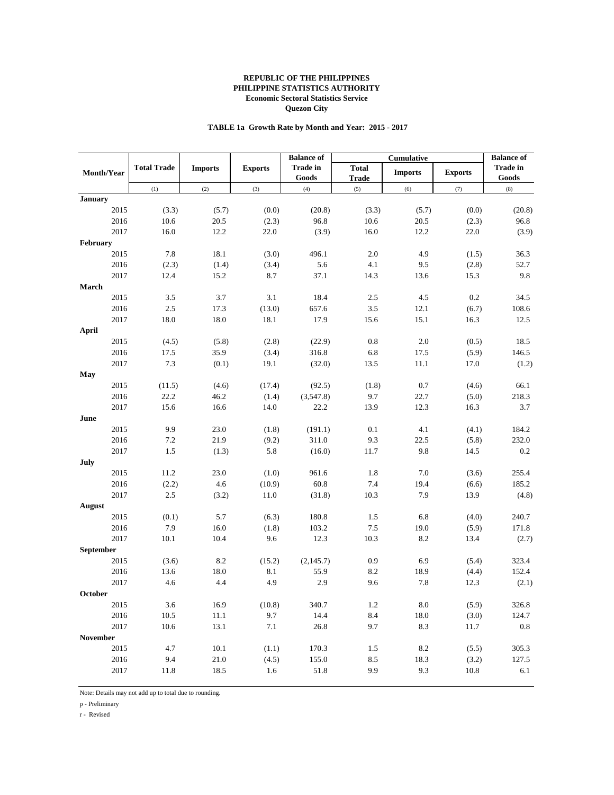## **TABLE 1a Growth Rate by Month and Year: 2015 - 2017**

| <b>Total Trade</b><br><b>Trade in</b><br><b>Imports</b><br><b>Exports</b><br><b>Trade in</b><br><b>Total</b><br><b>Exports</b><br>Month/Year<br><b>Imports</b><br>Goods<br><b>Trade</b><br>Goods<br>(2)<br>(3)<br>(5)<br>(6)<br>(7)<br>(8)<br>(1)<br>(4)<br><b>January</b><br>2015<br>(3.3)<br>(5.7)<br>(0.0)<br>(20.8)<br>(3.3)<br>(5.7)<br>(0.0)<br>(20.8)<br>96.8<br>10.6<br>2016<br>10.6<br>20.5<br>(2.3)<br>20.5<br>(2.3)<br>96.8<br>2017<br>16.0<br>12.2<br>16.0<br>12.2<br>22.0<br>(3.9)<br>22.0<br><b>February</b><br>2015<br>7.8<br>18.1<br>496.1<br>$2.0\,$<br>4.9<br>(3.0)<br>(1.5)<br>36.3<br>5.6<br>4.1<br>2016<br>(2.3)<br>(1.4)<br>(3.4)<br>9.5<br>(2.8)<br>52.7<br>2017<br>12.4<br>15.2<br>8.7<br>37.1<br>14.3<br>15.3<br>9.8<br>13.6<br>March<br>3.1<br>$0.2\,$<br>2015<br>3.5<br>3.7<br>18.4<br>2.5<br>4.5<br>34.5<br>$2.5\,$<br>657.6<br>12.1<br>2016<br>17.3<br>(13.0)<br>3.5<br>(6.7)<br>108.6<br>18.0<br>18.0<br>18.1<br>2017<br>17.9<br>15.6<br>15.1<br>16.3<br>12.5<br>April<br>2015<br>(2.8)<br>0.8<br>2.0<br>18.5<br>(4.5)<br>(5.8)<br>(22.9)<br>(0.5)<br>35.9<br>316.8<br>2016<br>17.5<br>(3.4)<br>6.8<br>17.5<br>(5.9)<br>146.5<br>7.3<br>2017<br>(0.1)<br>19.1<br>(32.0)<br>13.5<br>11.1<br>17.0<br>(1.2)<br>May<br>2015<br>(4.6)<br>(17.4)<br>(92.5)<br>(1.8)<br>0.7<br>(4.6)<br>66.1<br>(11.5)<br>46.2<br>9.7<br>2016<br>22.2<br>(1.4)<br>(3,547.8)<br>22.7<br>(5.0)<br>218.3<br>16.6<br>2017<br>15.6<br>14.0<br>22.2<br>13.9<br>12.3<br>16.3<br>3.7<br>June<br>9.9<br>2015<br>23.0<br>(1.8)<br>(191.1)<br>0.1<br>4.1<br>184.2<br>(4.1)<br>21.9<br>311.0<br>9.3<br>2016<br>7.2<br>(9.2)<br>22.5<br>(5.8)<br>232.0<br>$1.5\,$<br>2017<br>(1.3)<br>5.8<br>(16.0)<br>11.7<br>9.8<br>14.5<br>0.2<br>July<br>2015<br>11.2<br>23.0<br>(1.0)<br>961.6<br>1.8<br>7.0<br>(3.6)<br>255.4<br>2016<br>(2.2)<br>4.6<br>(10.9)<br>60.8<br>7.4<br>19.4<br>185.2<br>(6.6)<br>2017<br>$2.5\,$<br>7.9<br>13.9<br>(3.2)<br>11.0<br>(31.8)<br>10.3<br>August<br>240.7<br>2015<br>(0.1)<br>5.7<br>(6.3)<br>180.8<br>1.5<br>6.8<br>(4.0)<br>7.9<br>16.0<br>103.2<br>$7.5\,$<br>2016<br>(1.8)<br>19.0<br>(5.9)<br>171.8<br>2017<br>10.4<br>12.3<br>8.2<br>10.1<br>9.6<br>10.3<br>13.4<br><b>September</b><br>323.4<br>2015<br>(3.6)<br>8.2<br>(15.2)<br>(2, 145.7)<br>0.9<br>6.9<br>(5.4)<br>2016<br>18.0<br>8.1<br>55.9<br>8.2<br>152.4<br>13.6<br>18.9<br>(4.4)<br>2017<br>4.6<br>4.4<br>4.9<br>2.9<br>9.6<br>7.8<br>12.3<br>October<br>2015<br>3.6<br>16.9<br>(10.8)<br>340.7<br>1.2<br>8.0<br>(5.9)<br>326.8<br>2016<br>9.7<br>14.4<br>8.4<br>10.5<br>11.1<br>18.0<br>(3.0)<br>124.7<br>2017<br>10.6<br>13.1<br>7.1<br>26.8<br>9.7<br>8.3<br>$0.8\,$<br>11.7<br><b>November</b><br>2015<br>4.7<br>10.1<br>170.3<br>305.3<br>(1.1)<br>1.5<br>8.2<br>(5.5)<br>2016<br>9.4<br>$21.0\,$<br>155.0<br>18.3<br>127.5<br>(4.5)<br>8.5<br>(3.2)<br>2017<br>1.6<br>51.8<br>9.9<br>9.3<br>11.8<br>18.5<br>10.8<br>6.1 |  |  | <b>Balance of</b> | Cumulative | <b>Balance of</b> |  |
|------------------------------------------------------------------------------------------------------------------------------------------------------------------------------------------------------------------------------------------------------------------------------------------------------------------------------------------------------------------------------------------------------------------------------------------------------------------------------------------------------------------------------------------------------------------------------------------------------------------------------------------------------------------------------------------------------------------------------------------------------------------------------------------------------------------------------------------------------------------------------------------------------------------------------------------------------------------------------------------------------------------------------------------------------------------------------------------------------------------------------------------------------------------------------------------------------------------------------------------------------------------------------------------------------------------------------------------------------------------------------------------------------------------------------------------------------------------------------------------------------------------------------------------------------------------------------------------------------------------------------------------------------------------------------------------------------------------------------------------------------------------------------------------------------------------------------------------------------------------------------------------------------------------------------------------------------------------------------------------------------------------------------------------------------------------------------------------------------------------------------------------------------------------------------------------------------------------------------------------------------------------------------------------------------------------------------------------------------------------------------------------------------------------------------------------------------------------------------------------------------------------------------------------------------------------------------------------------------------------------------------------------------------------------------------------------------------------------------------------------------------------------------------------------------------------------------------------------------------------------------------------------------------------------|--|--|-------------------|------------|-------------------|--|
|                                                                                                                                                                                                                                                                                                                                                                                                                                                                                                                                                                                                                                                                                                                                                                                                                                                                                                                                                                                                                                                                                                                                                                                                                                                                                                                                                                                                                                                                                                                                                                                                                                                                                                                                                                                                                                                                                                                                                                                                                                                                                                                                                                                                                                                                                                                                                                                                                                                                                                                                                                                                                                                                                                                                                                                                                                                                                                                        |  |  |                   |            |                   |  |
|                                                                                                                                                                                                                                                                                                                                                                                                                                                                                                                                                                                                                                                                                                                                                                                                                                                                                                                                                                                                                                                                                                                                                                                                                                                                                                                                                                                                                                                                                                                                                                                                                                                                                                                                                                                                                                                                                                                                                                                                                                                                                                                                                                                                                                                                                                                                                                                                                                                                                                                                                                                                                                                                                                                                                                                                                                                                                                                        |  |  |                   |            |                   |  |
|                                                                                                                                                                                                                                                                                                                                                                                                                                                                                                                                                                                                                                                                                                                                                                                                                                                                                                                                                                                                                                                                                                                                                                                                                                                                                                                                                                                                                                                                                                                                                                                                                                                                                                                                                                                                                                                                                                                                                                                                                                                                                                                                                                                                                                                                                                                                                                                                                                                                                                                                                                                                                                                                                                                                                                                                                                                                                                                        |  |  |                   |            |                   |  |
|                                                                                                                                                                                                                                                                                                                                                                                                                                                                                                                                                                                                                                                                                                                                                                                                                                                                                                                                                                                                                                                                                                                                                                                                                                                                                                                                                                                                                                                                                                                                                                                                                                                                                                                                                                                                                                                                                                                                                                                                                                                                                                                                                                                                                                                                                                                                                                                                                                                                                                                                                                                                                                                                                                                                                                                                                                                                                                                        |  |  |                   |            |                   |  |
|                                                                                                                                                                                                                                                                                                                                                                                                                                                                                                                                                                                                                                                                                                                                                                                                                                                                                                                                                                                                                                                                                                                                                                                                                                                                                                                                                                                                                                                                                                                                                                                                                                                                                                                                                                                                                                                                                                                                                                                                                                                                                                                                                                                                                                                                                                                                                                                                                                                                                                                                                                                                                                                                                                                                                                                                                                                                                                                        |  |  |                   |            |                   |  |
|                                                                                                                                                                                                                                                                                                                                                                                                                                                                                                                                                                                                                                                                                                                                                                                                                                                                                                                                                                                                                                                                                                                                                                                                                                                                                                                                                                                                                                                                                                                                                                                                                                                                                                                                                                                                                                                                                                                                                                                                                                                                                                                                                                                                                                                                                                                                                                                                                                                                                                                                                                                                                                                                                                                                                                                                                                                                                                                        |  |  |                   |            | (3.9)             |  |
|                                                                                                                                                                                                                                                                                                                                                                                                                                                                                                                                                                                                                                                                                                                                                                                                                                                                                                                                                                                                                                                                                                                                                                                                                                                                                                                                                                                                                                                                                                                                                                                                                                                                                                                                                                                                                                                                                                                                                                                                                                                                                                                                                                                                                                                                                                                                                                                                                                                                                                                                                                                                                                                                                                                                                                                                                                                                                                                        |  |  |                   |            |                   |  |
|                                                                                                                                                                                                                                                                                                                                                                                                                                                                                                                                                                                                                                                                                                                                                                                                                                                                                                                                                                                                                                                                                                                                                                                                                                                                                                                                                                                                                                                                                                                                                                                                                                                                                                                                                                                                                                                                                                                                                                                                                                                                                                                                                                                                                                                                                                                                                                                                                                                                                                                                                                                                                                                                                                                                                                                                                                                                                                                        |  |  |                   |            |                   |  |
|                                                                                                                                                                                                                                                                                                                                                                                                                                                                                                                                                                                                                                                                                                                                                                                                                                                                                                                                                                                                                                                                                                                                                                                                                                                                                                                                                                                                                                                                                                                                                                                                                                                                                                                                                                                                                                                                                                                                                                                                                                                                                                                                                                                                                                                                                                                                                                                                                                                                                                                                                                                                                                                                                                                                                                                                                                                                                                                        |  |  |                   |            |                   |  |
|                                                                                                                                                                                                                                                                                                                                                                                                                                                                                                                                                                                                                                                                                                                                                                                                                                                                                                                                                                                                                                                                                                                                                                                                                                                                                                                                                                                                                                                                                                                                                                                                                                                                                                                                                                                                                                                                                                                                                                                                                                                                                                                                                                                                                                                                                                                                                                                                                                                                                                                                                                                                                                                                                                                                                                                                                                                                                                                        |  |  |                   |            |                   |  |
|                                                                                                                                                                                                                                                                                                                                                                                                                                                                                                                                                                                                                                                                                                                                                                                                                                                                                                                                                                                                                                                                                                                                                                                                                                                                                                                                                                                                                                                                                                                                                                                                                                                                                                                                                                                                                                                                                                                                                                                                                                                                                                                                                                                                                                                                                                                                                                                                                                                                                                                                                                                                                                                                                                                                                                                                                                                                                                                        |  |  |                   |            |                   |  |
|                                                                                                                                                                                                                                                                                                                                                                                                                                                                                                                                                                                                                                                                                                                                                                                                                                                                                                                                                                                                                                                                                                                                                                                                                                                                                                                                                                                                                                                                                                                                                                                                                                                                                                                                                                                                                                                                                                                                                                                                                                                                                                                                                                                                                                                                                                                                                                                                                                                                                                                                                                                                                                                                                                                                                                                                                                                                                                                        |  |  |                   |            |                   |  |
|                                                                                                                                                                                                                                                                                                                                                                                                                                                                                                                                                                                                                                                                                                                                                                                                                                                                                                                                                                                                                                                                                                                                                                                                                                                                                                                                                                                                                                                                                                                                                                                                                                                                                                                                                                                                                                                                                                                                                                                                                                                                                                                                                                                                                                                                                                                                                                                                                                                                                                                                                                                                                                                                                                                                                                                                                                                                                                                        |  |  |                   |            |                   |  |
|                                                                                                                                                                                                                                                                                                                                                                                                                                                                                                                                                                                                                                                                                                                                                                                                                                                                                                                                                                                                                                                                                                                                                                                                                                                                                                                                                                                                                                                                                                                                                                                                                                                                                                                                                                                                                                                                                                                                                                                                                                                                                                                                                                                                                                                                                                                                                                                                                                                                                                                                                                                                                                                                                                                                                                                                                                                                                                                        |  |  |                   |            |                   |  |
|                                                                                                                                                                                                                                                                                                                                                                                                                                                                                                                                                                                                                                                                                                                                                                                                                                                                                                                                                                                                                                                                                                                                                                                                                                                                                                                                                                                                                                                                                                                                                                                                                                                                                                                                                                                                                                                                                                                                                                                                                                                                                                                                                                                                                                                                                                                                                                                                                                                                                                                                                                                                                                                                                                                                                                                                                                                                                                                        |  |  |                   |            |                   |  |
|                                                                                                                                                                                                                                                                                                                                                                                                                                                                                                                                                                                                                                                                                                                                                                                                                                                                                                                                                                                                                                                                                                                                                                                                                                                                                                                                                                                                                                                                                                                                                                                                                                                                                                                                                                                                                                                                                                                                                                                                                                                                                                                                                                                                                                                                                                                                                                                                                                                                                                                                                                                                                                                                                                                                                                                                                                                                                                                        |  |  |                   |            |                   |  |
|                                                                                                                                                                                                                                                                                                                                                                                                                                                                                                                                                                                                                                                                                                                                                                                                                                                                                                                                                                                                                                                                                                                                                                                                                                                                                                                                                                                                                                                                                                                                                                                                                                                                                                                                                                                                                                                                                                                                                                                                                                                                                                                                                                                                                                                                                                                                                                                                                                                                                                                                                                                                                                                                                                                                                                                                                                                                                                                        |  |  |                   |            |                   |  |
|                                                                                                                                                                                                                                                                                                                                                                                                                                                                                                                                                                                                                                                                                                                                                                                                                                                                                                                                                                                                                                                                                                                                                                                                                                                                                                                                                                                                                                                                                                                                                                                                                                                                                                                                                                                                                                                                                                                                                                                                                                                                                                                                                                                                                                                                                                                                                                                                                                                                                                                                                                                                                                                                                                                                                                                                                                                                                                                        |  |  |                   |            |                   |  |
|                                                                                                                                                                                                                                                                                                                                                                                                                                                                                                                                                                                                                                                                                                                                                                                                                                                                                                                                                                                                                                                                                                                                                                                                                                                                                                                                                                                                                                                                                                                                                                                                                                                                                                                                                                                                                                                                                                                                                                                                                                                                                                                                                                                                                                                                                                                                                                                                                                                                                                                                                                                                                                                                                                                                                                                                                                                                                                                        |  |  |                   |            |                   |  |
|                                                                                                                                                                                                                                                                                                                                                                                                                                                                                                                                                                                                                                                                                                                                                                                                                                                                                                                                                                                                                                                                                                                                                                                                                                                                                                                                                                                                                                                                                                                                                                                                                                                                                                                                                                                                                                                                                                                                                                                                                                                                                                                                                                                                                                                                                                                                                                                                                                                                                                                                                                                                                                                                                                                                                                                                                                                                                                                        |  |  |                   |            |                   |  |
|                                                                                                                                                                                                                                                                                                                                                                                                                                                                                                                                                                                                                                                                                                                                                                                                                                                                                                                                                                                                                                                                                                                                                                                                                                                                                                                                                                                                                                                                                                                                                                                                                                                                                                                                                                                                                                                                                                                                                                                                                                                                                                                                                                                                                                                                                                                                                                                                                                                                                                                                                                                                                                                                                                                                                                                                                                                                                                                        |  |  |                   |            |                   |  |
|                                                                                                                                                                                                                                                                                                                                                                                                                                                                                                                                                                                                                                                                                                                                                                                                                                                                                                                                                                                                                                                                                                                                                                                                                                                                                                                                                                                                                                                                                                                                                                                                                                                                                                                                                                                                                                                                                                                                                                                                                                                                                                                                                                                                                                                                                                                                                                                                                                                                                                                                                                                                                                                                                                                                                                                                                                                                                                                        |  |  |                   |            |                   |  |
|                                                                                                                                                                                                                                                                                                                                                                                                                                                                                                                                                                                                                                                                                                                                                                                                                                                                                                                                                                                                                                                                                                                                                                                                                                                                                                                                                                                                                                                                                                                                                                                                                                                                                                                                                                                                                                                                                                                                                                                                                                                                                                                                                                                                                                                                                                                                                                                                                                                                                                                                                                                                                                                                                                                                                                                                                                                                                                                        |  |  |                   |            |                   |  |
|                                                                                                                                                                                                                                                                                                                                                                                                                                                                                                                                                                                                                                                                                                                                                                                                                                                                                                                                                                                                                                                                                                                                                                                                                                                                                                                                                                                                                                                                                                                                                                                                                                                                                                                                                                                                                                                                                                                                                                                                                                                                                                                                                                                                                                                                                                                                                                                                                                                                                                                                                                                                                                                                                                                                                                                                                                                                                                                        |  |  |                   |            |                   |  |
|                                                                                                                                                                                                                                                                                                                                                                                                                                                                                                                                                                                                                                                                                                                                                                                                                                                                                                                                                                                                                                                                                                                                                                                                                                                                                                                                                                                                                                                                                                                                                                                                                                                                                                                                                                                                                                                                                                                                                                                                                                                                                                                                                                                                                                                                                                                                                                                                                                                                                                                                                                                                                                                                                                                                                                                                                                                                                                                        |  |  |                   |            |                   |  |
|                                                                                                                                                                                                                                                                                                                                                                                                                                                                                                                                                                                                                                                                                                                                                                                                                                                                                                                                                                                                                                                                                                                                                                                                                                                                                                                                                                                                                                                                                                                                                                                                                                                                                                                                                                                                                                                                                                                                                                                                                                                                                                                                                                                                                                                                                                                                                                                                                                                                                                                                                                                                                                                                                                                                                                                                                                                                                                                        |  |  |                   |            |                   |  |
|                                                                                                                                                                                                                                                                                                                                                                                                                                                                                                                                                                                                                                                                                                                                                                                                                                                                                                                                                                                                                                                                                                                                                                                                                                                                                                                                                                                                                                                                                                                                                                                                                                                                                                                                                                                                                                                                                                                                                                                                                                                                                                                                                                                                                                                                                                                                                                                                                                                                                                                                                                                                                                                                                                                                                                                                                                                                                                                        |  |  |                   |            |                   |  |
|                                                                                                                                                                                                                                                                                                                                                                                                                                                                                                                                                                                                                                                                                                                                                                                                                                                                                                                                                                                                                                                                                                                                                                                                                                                                                                                                                                                                                                                                                                                                                                                                                                                                                                                                                                                                                                                                                                                                                                                                                                                                                                                                                                                                                                                                                                                                                                                                                                                                                                                                                                                                                                                                                                                                                                                                                                                                                                                        |  |  |                   |            |                   |  |
|                                                                                                                                                                                                                                                                                                                                                                                                                                                                                                                                                                                                                                                                                                                                                                                                                                                                                                                                                                                                                                                                                                                                                                                                                                                                                                                                                                                                                                                                                                                                                                                                                                                                                                                                                                                                                                                                                                                                                                                                                                                                                                                                                                                                                                                                                                                                                                                                                                                                                                                                                                                                                                                                                                                                                                                                                                                                                                                        |  |  |                   |            |                   |  |
|                                                                                                                                                                                                                                                                                                                                                                                                                                                                                                                                                                                                                                                                                                                                                                                                                                                                                                                                                                                                                                                                                                                                                                                                                                                                                                                                                                                                                                                                                                                                                                                                                                                                                                                                                                                                                                                                                                                                                                                                                                                                                                                                                                                                                                                                                                                                                                                                                                                                                                                                                                                                                                                                                                                                                                                                                                                                                                                        |  |  |                   |            | (4.8)             |  |
|                                                                                                                                                                                                                                                                                                                                                                                                                                                                                                                                                                                                                                                                                                                                                                                                                                                                                                                                                                                                                                                                                                                                                                                                                                                                                                                                                                                                                                                                                                                                                                                                                                                                                                                                                                                                                                                                                                                                                                                                                                                                                                                                                                                                                                                                                                                                                                                                                                                                                                                                                                                                                                                                                                                                                                                                                                                                                                                        |  |  |                   |            |                   |  |
|                                                                                                                                                                                                                                                                                                                                                                                                                                                                                                                                                                                                                                                                                                                                                                                                                                                                                                                                                                                                                                                                                                                                                                                                                                                                                                                                                                                                                                                                                                                                                                                                                                                                                                                                                                                                                                                                                                                                                                                                                                                                                                                                                                                                                                                                                                                                                                                                                                                                                                                                                                                                                                                                                                                                                                                                                                                                                                                        |  |  |                   |            |                   |  |
|                                                                                                                                                                                                                                                                                                                                                                                                                                                                                                                                                                                                                                                                                                                                                                                                                                                                                                                                                                                                                                                                                                                                                                                                                                                                                                                                                                                                                                                                                                                                                                                                                                                                                                                                                                                                                                                                                                                                                                                                                                                                                                                                                                                                                                                                                                                                                                                                                                                                                                                                                                                                                                                                                                                                                                                                                                                                                                                        |  |  |                   |            |                   |  |
|                                                                                                                                                                                                                                                                                                                                                                                                                                                                                                                                                                                                                                                                                                                                                                                                                                                                                                                                                                                                                                                                                                                                                                                                                                                                                                                                                                                                                                                                                                                                                                                                                                                                                                                                                                                                                                                                                                                                                                                                                                                                                                                                                                                                                                                                                                                                                                                                                                                                                                                                                                                                                                                                                                                                                                                                                                                                                                                        |  |  |                   |            | (2.7)             |  |
|                                                                                                                                                                                                                                                                                                                                                                                                                                                                                                                                                                                                                                                                                                                                                                                                                                                                                                                                                                                                                                                                                                                                                                                                                                                                                                                                                                                                                                                                                                                                                                                                                                                                                                                                                                                                                                                                                                                                                                                                                                                                                                                                                                                                                                                                                                                                                                                                                                                                                                                                                                                                                                                                                                                                                                                                                                                                                                                        |  |  |                   |            |                   |  |
|                                                                                                                                                                                                                                                                                                                                                                                                                                                                                                                                                                                                                                                                                                                                                                                                                                                                                                                                                                                                                                                                                                                                                                                                                                                                                                                                                                                                                                                                                                                                                                                                                                                                                                                                                                                                                                                                                                                                                                                                                                                                                                                                                                                                                                                                                                                                                                                                                                                                                                                                                                                                                                                                                                                                                                                                                                                                                                                        |  |  |                   |            |                   |  |
|                                                                                                                                                                                                                                                                                                                                                                                                                                                                                                                                                                                                                                                                                                                                                                                                                                                                                                                                                                                                                                                                                                                                                                                                                                                                                                                                                                                                                                                                                                                                                                                                                                                                                                                                                                                                                                                                                                                                                                                                                                                                                                                                                                                                                                                                                                                                                                                                                                                                                                                                                                                                                                                                                                                                                                                                                                                                                                                        |  |  |                   |            |                   |  |
|                                                                                                                                                                                                                                                                                                                                                                                                                                                                                                                                                                                                                                                                                                                                                                                                                                                                                                                                                                                                                                                                                                                                                                                                                                                                                                                                                                                                                                                                                                                                                                                                                                                                                                                                                                                                                                                                                                                                                                                                                                                                                                                                                                                                                                                                                                                                                                                                                                                                                                                                                                                                                                                                                                                                                                                                                                                                                                                        |  |  |                   |            | (2.1)             |  |
|                                                                                                                                                                                                                                                                                                                                                                                                                                                                                                                                                                                                                                                                                                                                                                                                                                                                                                                                                                                                                                                                                                                                                                                                                                                                                                                                                                                                                                                                                                                                                                                                                                                                                                                                                                                                                                                                                                                                                                                                                                                                                                                                                                                                                                                                                                                                                                                                                                                                                                                                                                                                                                                                                                                                                                                                                                                                                                                        |  |  |                   |            |                   |  |
|                                                                                                                                                                                                                                                                                                                                                                                                                                                                                                                                                                                                                                                                                                                                                                                                                                                                                                                                                                                                                                                                                                                                                                                                                                                                                                                                                                                                                                                                                                                                                                                                                                                                                                                                                                                                                                                                                                                                                                                                                                                                                                                                                                                                                                                                                                                                                                                                                                                                                                                                                                                                                                                                                                                                                                                                                                                                                                                        |  |  |                   |            |                   |  |
|                                                                                                                                                                                                                                                                                                                                                                                                                                                                                                                                                                                                                                                                                                                                                                                                                                                                                                                                                                                                                                                                                                                                                                                                                                                                                                                                                                                                                                                                                                                                                                                                                                                                                                                                                                                                                                                                                                                                                                                                                                                                                                                                                                                                                                                                                                                                                                                                                                                                                                                                                                                                                                                                                                                                                                                                                                                                                                                        |  |  |                   |            |                   |  |
|                                                                                                                                                                                                                                                                                                                                                                                                                                                                                                                                                                                                                                                                                                                                                                                                                                                                                                                                                                                                                                                                                                                                                                                                                                                                                                                                                                                                                                                                                                                                                                                                                                                                                                                                                                                                                                                                                                                                                                                                                                                                                                                                                                                                                                                                                                                                                                                                                                                                                                                                                                                                                                                                                                                                                                                                                                                                                                                        |  |  |                   |            |                   |  |
|                                                                                                                                                                                                                                                                                                                                                                                                                                                                                                                                                                                                                                                                                                                                                                                                                                                                                                                                                                                                                                                                                                                                                                                                                                                                                                                                                                                                                                                                                                                                                                                                                                                                                                                                                                                                                                                                                                                                                                                                                                                                                                                                                                                                                                                                                                                                                                                                                                                                                                                                                                                                                                                                                                                                                                                                                                                                                                                        |  |  |                   |            |                   |  |
|                                                                                                                                                                                                                                                                                                                                                                                                                                                                                                                                                                                                                                                                                                                                                                                                                                                                                                                                                                                                                                                                                                                                                                                                                                                                                                                                                                                                                                                                                                                                                                                                                                                                                                                                                                                                                                                                                                                                                                                                                                                                                                                                                                                                                                                                                                                                                                                                                                                                                                                                                                                                                                                                                                                                                                                                                                                                                                                        |  |  |                   |            |                   |  |
|                                                                                                                                                                                                                                                                                                                                                                                                                                                                                                                                                                                                                                                                                                                                                                                                                                                                                                                                                                                                                                                                                                                                                                                                                                                                                                                                                                                                                                                                                                                                                                                                                                                                                                                                                                                                                                                                                                                                                                                                                                                                                                                                                                                                                                                                                                                                                                                                                                                                                                                                                                                                                                                                                                                                                                                                                                                                                                                        |  |  |                   |            |                   |  |
|                                                                                                                                                                                                                                                                                                                                                                                                                                                                                                                                                                                                                                                                                                                                                                                                                                                                                                                                                                                                                                                                                                                                                                                                                                                                                                                                                                                                                                                                                                                                                                                                                                                                                                                                                                                                                                                                                                                                                                                                                                                                                                                                                                                                                                                                                                                                                                                                                                                                                                                                                                                                                                                                                                                                                                                                                                                                                                                        |  |  |                   |            |                   |  |

Note: Details may not add up to total due to rounding.

p - Preliminary

r - Revised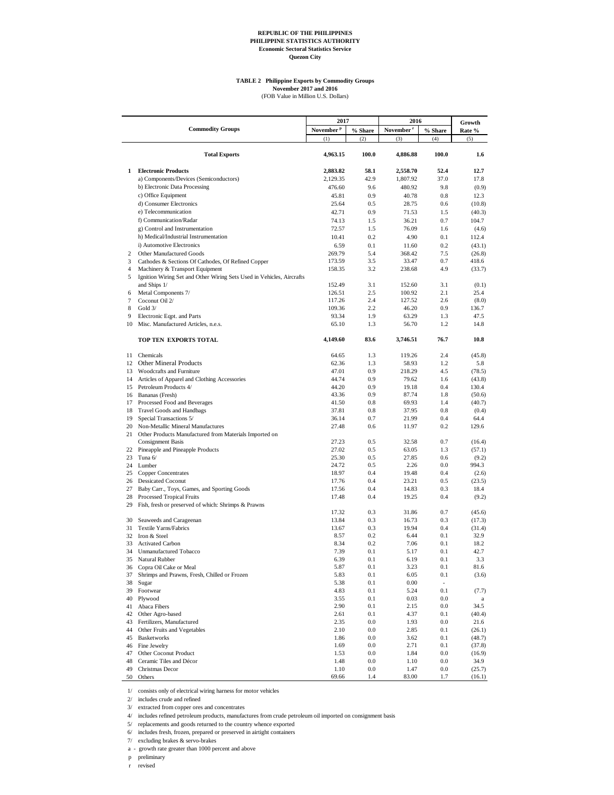#### **TABLE 2 Philippine Exports by Commodity Groups**

**November 2017 and 2016**<br>(FOB Value in Million U.S. Dollars)

|                     |                                                                                                          | 2017                  |            | 2016                  |                          | Growth           |
|---------------------|----------------------------------------------------------------------------------------------------------|-----------------------|------------|-----------------------|--------------------------|------------------|
|                     | <b>Commodity Groups</b>                                                                                  | November <sup>P</sup> | % Share    | November <sup>r</sup> | % Share                  | Rate %           |
|                     |                                                                                                          | (1)                   | (2)        | (3)                   | (4)                      | (5)              |
|                     | <b>Total Exports</b>                                                                                     | 4,963.15              | 100.0      | 4,886.88              | 100.0                    | 1.6              |
| $\mathbf{1}$        | <b>Electronic Products</b>                                                                               | 2,883.82              | 58.1       | 2,558.70              | 52.4                     | 12.7             |
|                     | a) Components/Devices (Semiconductors)                                                                   | 2,129.35              | 42.9       | 1,807.92              | 37.0                     | 17.8             |
|                     | b) Electronic Data Processing                                                                            | 476.60                | 9.6        | 480.92                | 9.8                      | (0.9)            |
|                     | c) Office Equipment                                                                                      | 45.81                 | 0.9        | 40.78                 | 0.8                      | 12.3             |
|                     | d) Consumer Electronics                                                                                  | 25.64                 | 0.5        | 28.75                 | 0.6                      | (10.8)           |
|                     | e) Telecommunication                                                                                     | 42.71                 | 0.9        | 71.53                 | 1.5                      | (40.3)           |
|                     | f) Communication/Radar                                                                                   | 74.13                 | 1.5        | 36.21                 | 0.7                      | 104.7            |
|                     | g) Control and Instrumentation                                                                           | 72.57                 | 1.5        | 76.09                 | 1.6                      | (4.6)            |
|                     | h) Medical/Industrial Instrumentation                                                                    | 10.41                 | 0.2        | 4.90                  | 0.1                      | 112.4            |
|                     | i) Automotive Electronics                                                                                | 6.59                  | 0.1        | 11.60                 | 0.2                      | (43.1)           |
| 2                   | Other Manufactured Goods                                                                                 | 269.79                | 5.4        | 368.42                | 7.5                      | (26.8)           |
| 3<br>$\overline{4}$ | Cathodes & Sections Of Cathodes, Of Refined Copper                                                       | 173.59                | 3.5<br>3.2 | 33.47                 | 0.7<br>4.9               | 418.6            |
| 5                   | Machinery & Transport Equipment<br>Ignition Wiring Set and Other Wiring Sets Used in Vehicles, Aircrafts | 158.35                |            | 238.68                |                          | (33.7)           |
|                     | and Ships 1/                                                                                             | 152.49                | 3.1        | 152.60                | 3.1                      | (0.1)            |
| 6                   | Metal Components 7/                                                                                      | 126.51                | 2.5        | 100.92                | 2.1                      | 25.4             |
| $\tau$              | Coconut Oil 2/                                                                                           | 117.26                | 2.4        | 127.52                | 2.6                      | (8.0)            |
| 8                   | Gold 3/                                                                                                  | 109.36                | 2.2        | 46.20                 | 0.9                      | 136.7            |
| 9                   | Electronic Eqpt. and Parts                                                                               | 93.34                 | 1.9        | 63.29                 | 1.3                      | 47.5             |
|                     | 10 Misc. Manufactured Articles, n.e.s.                                                                   | 65.10                 | 1.3        | 56.70                 | 1.2                      | 14.8             |
|                     | TOP TEN EXPORTS TOTAL                                                                                    | 4,149.60              | 83.6       | 3,746.51              | 76.7                     | 10.8             |
|                     | 11 Chemicals                                                                                             | 64.65                 | 1.3        | 119.26                | 2.4                      | (45.8)           |
|                     | 12 Other Mineral Products                                                                                | 62.36                 | 1.3        | 58.93                 | 1.2                      | 5.8              |
|                     | 13 Woodcrafts and Furniture                                                                              | 47.01                 | 0.9        | 218.29                | 4.5                      | (78.5)           |
|                     | 14 Articles of Apparel and Clothing Accessories                                                          | 44.74                 | 0.9        | 79.62                 | 1.6                      | (43.8)           |
|                     | 15 Petroleum Products 4/                                                                                 | 44.20                 | 0.9        | 19.18                 | 0.4                      | 130.4            |
|                     | 16 Bananas (Fresh)                                                                                       | 43.36                 | 0.9        | 87.74                 | 1.8                      | (50.6)           |
|                     | 17 Processed Food and Beverages                                                                          | 41.50                 | 0.8        | 69.93                 | 1.4                      | (40.7)           |
|                     | 18 Travel Goods and Handbags                                                                             | 37.81                 | 0.8        | 37.95                 | 0.8                      | (0.4)            |
|                     | 19 Special Transactions 5/                                                                               | 36.14                 | 0.7        | 21.99                 | 0.4                      | 64.4             |
|                     | 20 Non-Metallic Mineral Manufactures<br>21 Other Products Manufactured from Materials Imported on        | 27.48                 | 0.6        | 11.97                 | 0.2                      | 129.6            |
|                     | <b>Consignment Basis</b>                                                                                 | 27.23<br>27.02        | 0.5<br>0.5 | 32.58<br>63.05        | 0.7<br>1.3               | (16.4)<br>(57.1) |
|                     | 22 Pineapple and Pineapple Products<br>23 Tuna $6/$                                                      | 25.30                 | 0.5        | 27.85                 | 0.6                      | (9.2)            |
|                     | 24 Lumber                                                                                                | 24.72                 | 0.5        | 2.26                  | 0.0                      | 994.3            |
|                     | 25 Copper Concentrates                                                                                   | 18.97                 | 0.4        | 19.48                 | 0.4                      | (2.6)            |
|                     | 26 Dessicated Coconut                                                                                    | 17.76                 | 0.4        | 23.21                 | 0.5                      | (23.5)           |
|                     | 27 Baby Carr., Toys, Games, and Sporting Goods                                                           | 17.56                 | 0.4        | 14.83                 | 0.3                      | 18.4             |
|                     | 28 Processed Tropical Fruits<br>29 Fish, fresh or preserved of which: Shrimps & Prawns                   | 17.48                 | 0.4        | 19.25                 | 0.4                      | (9.2)            |
|                     |                                                                                                          | 17.32                 | 0.3        | 31.86                 | 0.7                      | (45.6)           |
|                     | 30 Seaweeds and Carageenan                                                                               | 13.84                 | 0.3        | 16.73                 | 0.3                      | (17.3)           |
|                     | 31 Textile Yarns/Fabrics                                                                                 | 13.67                 | 0.3        | 19.94                 | 0.4                      | (31.4)           |
|                     | 32 Iron & Steel                                                                                          | 8.57                  | 0.2        | 6.44                  | 0.1                      | 32.9             |
| 34                  | 33 Activated Carbon<br><b>Unmanufactured Tobacco</b>                                                     | 8.34<br>7.39          | 0.2<br>0.1 | 7.06<br>5.17          | 0.1<br>0.1               | 18.2<br>42.7     |
| 35                  | Natural Rubber                                                                                           | 6.39                  | 0.1        | 6.19                  | 0.1                      | 3.3              |
| 36                  | Copra Oil Cake or Meal                                                                                   | 5.87                  | 0.1        | 3.23                  | 0.1                      | 81.6             |
| 37                  | Shrimps and Prawns, Fresh, Chilled or Frozen                                                             | 5.83                  | 0.1        | 6.05                  | 0.1                      | (3.6)            |
| 38                  | Sugar                                                                                                    | 5.38                  | 0.1        | 0.00                  | $\overline{\phantom{a}}$ |                  |
| 39                  | Footwear                                                                                                 | 4.83                  | 0.1        | 5.24                  | 0.1                      | (7.7)            |
| 40                  | Plywood                                                                                                  | 3.55                  | 0.1        | 0.03                  | 0.0                      | a                |
| 41                  | Abaca Fibers                                                                                             | 2.90                  | 0.1        | 2.15                  | 0.0                      | 34.5             |
| 42                  | Other Agro-based                                                                                         | 2.61                  | 0.1        | 4.37                  | 0.1                      | (40.4)           |
| 43                  | Fertilizers, Manufactured                                                                                | 2.35                  | 0.0        | 1.93                  | 0.0                      | 21.6             |
| 44                  | Other Fruits and Vegetables                                                                              | 2.10                  | 0.0        | 2.85                  | 0.1                      | (26.1)           |
| 45                  | <b>Basketworks</b><br>Fine Jewelry                                                                       | 1.86<br>1.69          | 0.0<br>0.0 | 3.62<br>2.71          | 0.1<br>0.1               | (48.7)           |
| 46<br>47            | Other Coconut Product                                                                                    | 1.53                  | $0.0\,$    | 1.84                  | 0.0                      | (37.8)<br>(16.9) |
| 48                  | Ceramic Tiles and Décor                                                                                  | 1.48                  | 0.0        | 1.10                  | $0.0\,$                  | 34.9             |
| 49                  | Christmas Decor                                                                                          | 1.10                  | 0.0        | 1.47                  | $0.0\,$                  | (25.7)           |
| 50                  | Others                                                                                                   | 69.66                 | 1.4        | 83.00                 | 1.7                      | (16.1)           |

1/ consists only of electrical wiring harness for motor vehicles

2/ includes crude and refined

3/ extracted from copper ores and concentrates

4/ includes refined petroleum products, manufactures from crude petroleum oil imported on consignment basis

5/ replacements and goods returned to the country whence exported

6/ includes fresh, frozen, prepared or preserved in airtight containers

7/ excluding brakes & servo-brakes a - growth rate greater than 1000 percent and above

p preliminary

r revised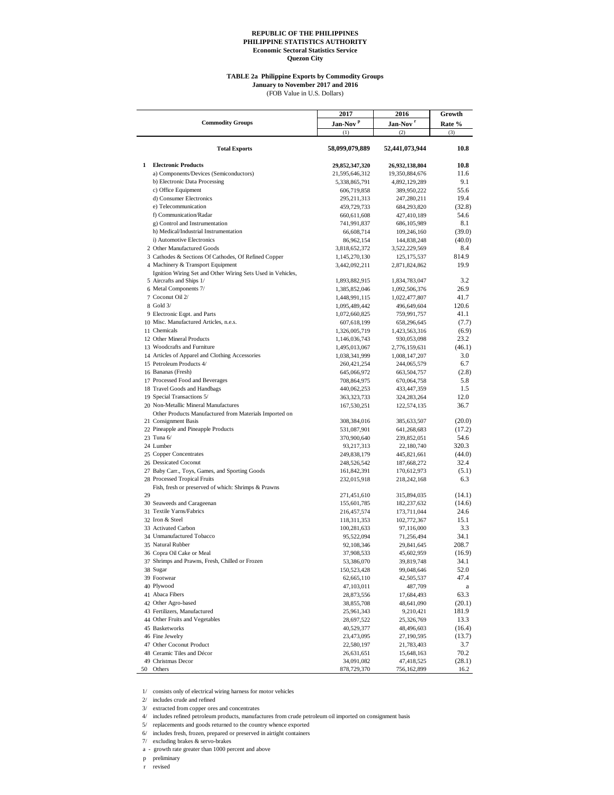#### **TABLE 2a Philippine Exports by Commodity Groups**

(FOB Value in U.S. Dollars) **January to November 2017 and 2016**

**2017 2016 Growth Jan-Nov <sup>p</sup> Jan-Nov <sup>r</sup> Rate %**  $(1)$   $(2)$   $(3)$ **Total Exports 58,099,079,889 52,441,073,944 10.8 1 Electronic Products 29,852,347,320 26,932,138,804 10.8** a) Components/Devices (Semiconductors) 21,595,646,312 19,350,884,676 11.6 b) Electronic Data Processing 5,338,865,791 4,892,129,289 9.1 c) Office Equipment 606,719,858 389,950,222 55.6<br>d) Consumer Electronics 295,211,313 247,280,211 19.4 d) Consumer Electronics 295,211,313 247,280,211 19.4 e) Telecommunication and the telecommunication 459,729,733 684,293,820 (32.8)<br>
f) Communication/Radar 660,611,608 427,410,189 54.6 f) Communication/Radar 660,611,608 427,410,189 54.6 g) Control and Instrumentation 13.1 (99.03.14 686,105,989 8.1<br>
h) Medical/Industrial Instrumentation 166,608,714 109,246,160 (39.0) h) Medical/Industrial Instrumentation 66,608,714 109,246,160 (39.0) i) Automotive Electronics 86,962,154 144,838,248 (40.0) 2 Other Manufactured Goods 3,818,652,372 3,522,229,569 8.4 3 Cathodes & Sections Of Cathodes, Of Refined Copper 1,145,270,130 125,175,537 814.9<br>4 Machinery & Transport Equipment 4 3,442,092,211 2,871,824,862 19.9 4 Machinery & Transport Equipment 3,442,092,211 2,871,824,862 19.9 5 Aircrafts and Ships 1/ 1,893,882,915 1,834,783,047 3.2 Ignition Wiring Set and Other Wiring Sets Used in Vehicles, 6 Metal Components 7/ 1,385,852,046 1,092,506,376 26.9<br>7 Coconut Oil 2/ 1,448,991,115 1,022,477,807 41.7 7 Coconut Oil 2/ 1,448,991,115 1,022,477,807 8 Gold 3/ 1,095,489,442 496,649,604 8 Gold 3/ **1,095,489,442** 496,649,604 120.6 9 Electronic Eqpt. and Parts 1,072,660,825 759,991,757 41.1 10 Misc. Manufactured Articles, n.e.s. 607,618,199 658,296,645 (7.7) 1,326,005,719 1,423,563,316 (6.9) 12 Other Mineral Products<br>
13 Woodcrafts and Furniture<br>
13 Woodcrafts and Furniture<br>
1495,013,067 2,776,159,631 (46.1) 13 Woodcrafts and Furniture 1,495,013,067 2,776,159,631 (46.1) 14 Articles of Apparel and Clothing Accessories 1,038,341,999 1,008,147,207 3.0<br>15 Petroleum Products 4/ 260,421.254 244,065.579 6.7 15 Petroleum Products 4/ 260,421,254 244,065,579<br>16 Bananas (Fresh) 645,066,972 663,504,757 16 Bananas (Fresh) 645,066,972 663,504,757 (2.8)<br>17 Processed Food and Beverages 68 and 200 and 200 and 200 and 200 and 200 and 200 and 200 and 200 and 200 and 200 and 200 and 200 and 200 and 200 and 200 and 200 and 200 an 17 Processed Food and Beverages 708,864,975 670,064,758 5.8 18 Travel Goods and Handbags 1.5<br>
19 Special Transactions 5/<br>
12.0<br>
12.0<br>
12.0 19 Special Transactions 5/ 20 Non-Metallic Mineral Manufactures 167,530,251 122,574,135 36.7 21 Consignment Basis 308,384,016 385,633,507 (20.0) Other Products Manufactured from Materials Imported on 22 Pineapple and Pineapple Products 531,087,901 641,268,683 (17.2)<br>
23 Tuna 6/ 370,900,640 239,852,051 54.6 23 Tuna 6/ 370,900,640 239,852,051 54.6<br>24 Lumber 93.217.313 22.180.740 320.3 24 Lumber 22, 180,740 320.3 25 Copper Concentrates 249,838,179 445,821,661 (44.0) 26 Dessicated Coconut 248,526,542 187,668,272 32.4 27 Baby Carr., Toys, Games, and Sporting Goods 161,842,391 170,612,973 (5.1)<br>28 Processed Tropical Fruits 232,015,918 232,015,918 218,242,168 6.3 28 Processed Tropical Fruits 232,015,918 218,242,168 6.3  $29$ Fish, fresh or preserved of which: Shrimps & Prawns 271,451,610 315,894,035 (14.1)<br>155,601,785 182,237,632 (14.6) 30 Seaweeds and Carageenan 155,601,785 182,237,632 (14.6)<br>31 Textile Yarns/Fabrics 216,457,574 173,711,044 24.6 31 Textile Yarns/Fabrics 216,457,574 173,711,044<br>32 Iron & Steel 118,311,353 102,772,367 32 Iron & Steel 118,311,353 102,772,367 15.1 33 Activated Carbon 100,281,633 97,116,000 3.3 34 Unmanufactured Tobacco 95,522,094 71,256,494 34.1 35 Natural Rubber 92,108,346 29,841,645 208.7 36 Copra Oil Cake or Meal 37,908,533 45,602,959 (16.9)<br>37 Shrimps and Prawns, Fresh, Chilled or Frozen 53,386,070 39,819,748 34.1 37 Shrimps and Prawns, Fresh, Chilled or Frozen 38 Sugar 38 Sugar 150,523,428 99,048,646 52.0 39 Footwear 62,665,110 42,505,537 47.4 40 Plywood a and the state of the state of the 47,103,011 and 47,103,011 and 487,709 and 47,103,011 and 487,709 and 47,103,011 and 487,709 and 47,103,011 and 487,709 and 47,103,011 and 487,709 and 47,103,011 and 487,709 an 41 Abaca Fibers 63.3<br>42 Other Agro-based 63.3<br>42 Other Agro-based 63.3<br>43.855.708 48.641.090 (20.1) 42 Other Agro-based 38,855,708 48,641,090 (20.1) 43 Fertilizers, Manufactured 25,961,343 9,210,421 181.9 44 Other Fruits and Vegetables<br>
45 ASS/522 25,326,769 13.3<br>
45 Assketworks<br>
48,496,603 (16.4) 45 Basketworks 40,529,377 48,496,603 (16.4) 46 Fine Jewelry 23,473,095 27,190,595 (13.7)<br>47 Other Coconut Product 22,580,197 21,783,403 3.7 47 Other Coconut Product 22,580,197 21,783,403 3.7 48 Ceramic Tiles and Décor 26,631,651 15,648,163 70.2<br>
49 Christmas Decor 26 Decor 24 09 1082 47 418 525 (28.1) 49 Christmas Decor 34,091,082 47,418,525 (28.1)<br>
50 Others 378,729,370 756,162,899 16.2 50 Others 878,729,370 756,162,899 16.2 **Commodity Groups**

1/ consists only of electrical wiring harness for motor vehicles

2/ includes crude and refined

3/ extracted from copper ores and concentrates

4/ includes refined petroleum products, manufactures from crude petroleum oil imported on consignment basis

5/ replacements and goods returned to the country whence exported

6/ includes fresh, frozen, prepared or preserved in airtight containers

7/ excluding brakes & servo-brakes

a - growth rate greater than 1000 percent and above

p preliminary

revised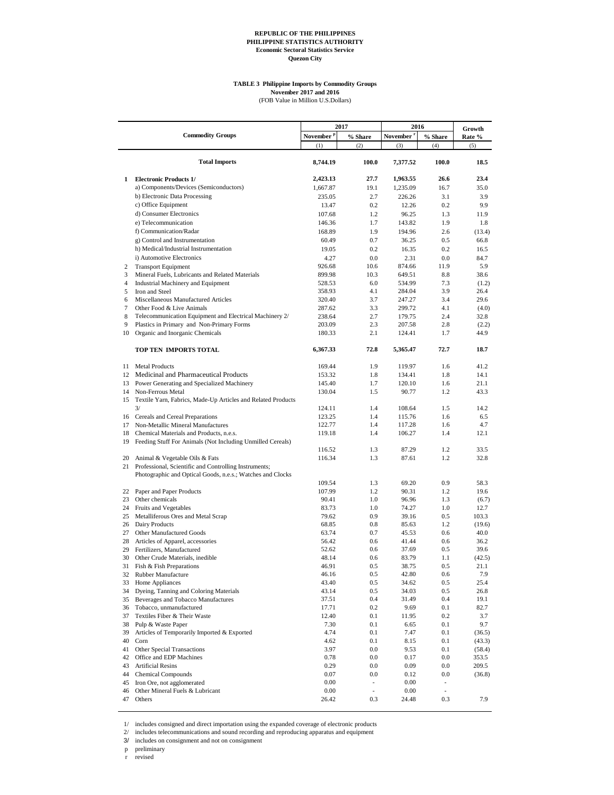#### **TABLE 3 Philippine Imports by Commodity Groups November 2017 and 2016**

(FOB Value in Million U.S.Dollars)

|                | <b>Commodity Groups</b>                                                                                             |                              | 2017               | 2016                         |                          | Growth          |
|----------------|---------------------------------------------------------------------------------------------------------------------|------------------------------|--------------------|------------------------------|--------------------------|-----------------|
|                |                                                                                                                     | November <sup>p</sup><br>(1) | % Share<br>(2)     | November <sup>1</sup><br>(3) | % Share<br>(4)           | Rate %<br>(5)   |
|                |                                                                                                                     |                              |                    |                              |                          |                 |
|                | <b>Total Imports</b>                                                                                                | 8,744.19                     | 100.0              | 7,377.52                     | 100.0                    | 18.5            |
| 1              | <b>Electronic Products 1/</b>                                                                                       | 2,423.13                     | 27.7               | 1,963.55                     | 26.6                     | 23.4            |
|                | a) Components/Devices (Semiconductors)                                                                              | 1,667.87                     | 19.1               | 1,235.09                     | 16.7                     | 35.0            |
|                | b) Electronic Data Processing                                                                                       | 235.05                       | 2.7                | 226.26                       | 3.1                      | 3.9             |
|                | c) Office Equipment                                                                                                 | 13.47                        | 0.2                | 12.26                        | 0.2                      | 9.9             |
|                | d) Consumer Electronics                                                                                             | 107.68                       | 1.2                | 96.25                        | 1.3                      | 11.9            |
|                | e) Telecommunication                                                                                                | 146.36                       | 1.7                | 143.82                       | 1.9                      | 1.8             |
|                | f) Communication/Radar                                                                                              | 168.89                       | 1.9                | 194.96                       | 2.6                      | (13.4)          |
|                | g) Control and Instrumentation                                                                                      | 60.49                        | 0.7                | 36.25                        | 0.5                      | 66.8            |
|                | h) Medical/Industrial Instrumentation                                                                               | 19.05                        | 0.2                | 16.35                        | 0.2                      | 16.5            |
|                | i) Automotive Electronics                                                                                           | 4.27                         | 0.0                | 2.31                         | 0.0                      | 84.7            |
| 2              | <b>Transport Equipment</b>                                                                                          | 926.68                       | 10.6               | 874.66                       | 11.9                     | 5.9             |
| 3              | Mineral Fuels, Lubricants and Related Materials                                                                     | 899.98                       | 10.3               | 649.51                       | 8.8                      | 38.6            |
| $\overline{4}$ | Industrial Machinery and Equipment                                                                                  | 528.53                       | 6.0                | 534.99                       | 7.3                      | (1.2)           |
| 5              | Iron and Steel                                                                                                      | 358.93                       | 4.1                | 284.04                       | 3.9                      | 26.4            |
| 6              | Miscellaneous Manufactured Articles                                                                                 | 320.40                       | 3.7                | 247.27                       | 3.4                      | 29.6            |
| 7              | Other Food & Live Animals                                                                                           | 287.62                       | 3.3                | 299.72                       | 4.1                      | (4.0)           |
| 8              | Telecommunication Equipment and Electrical Machinery 2/                                                             | 238.64                       | 2.7                | 179.75                       | 2.4                      | 32.8            |
| 9              | Plastics in Primary and Non-Primary Forms                                                                           | 203.09                       | 2.3                | 207.58                       | 2.8                      | (2.2)           |
| 10             | Organic and Inorganic Chemicals                                                                                     | 180.33                       | 2.1                | 124.41                       | 1.7                      | 44.9            |
|                | TOP TEN IMPORTS TOTAL                                                                                               | 6,367.33                     | 72.8               | 5,365.47                     | 72.7                     | 18.7            |
| 11             | <b>Metal Products</b>                                                                                               | 169.44                       | 1.9                | 119.97                       | 1.6                      | 41.2            |
|                | 12 Medicinal and Pharmaceutical Products                                                                            | 153.32                       | 1.8                | 134.41                       | 1.8                      | 14.1            |
| 13             | Power Generating and Specialized Machinery                                                                          | 145.40                       | 1.7                | 120.10                       | 1.6                      | 21.1            |
| 14             | Non-Ferrous Metal                                                                                                   | 130.04                       | 1.5                | 90.77                        | 1.2                      | 43.3            |
| 15             | Textile Yarn, Fabrics, Made-Up Articles and Related Products                                                        |                              |                    |                              |                          |                 |
|                | 3/                                                                                                                  | 124.11                       | 1.4                | 108.64                       | 1.5                      | 14.2            |
|                | 16 Cereals and Cereal Preparations                                                                                  | 123.25                       | 1.4                | 115.76                       | 1.6                      | 6.5             |
| 17             | Non-Metallic Mineral Manufactures                                                                                   | 122.77                       | 1.4                | 117.28                       | 1.6                      | 4.7             |
| 18             | Chemical Materials and Products, n.e.s.                                                                             | 119.18                       | 1.4                | 106.27                       | 1.4                      | 12.1            |
| 19             | Feeding Stuff For Animals (Not Including Unmilled Cereals)                                                          |                              |                    |                              |                          |                 |
|                |                                                                                                                     | 116.52                       | 1.3                | 87.29                        | 1.2                      | 33.5            |
| 20<br>21       | Animal & Vegetable Oils & Fats                                                                                      | 116.34                       | 1.3                | 87.61                        | 1.2                      | 32.8            |
|                | Professional, Scientific and Controlling Instruments;<br>Photographic and Optical Goods, n.e.s.; Watches and Clocks |                              |                    |                              |                          |                 |
|                |                                                                                                                     | 109.54                       | 1.3                | 69.20                        | 0.9                      | 58.3            |
|                | 22 Paper and Paper Products                                                                                         | 107.99                       | 1.2                | 90.31                        | 1.2                      | 19.6            |
| 23             | Other chemicals                                                                                                     | 90.41                        | 1.0                | 96.96                        | 1.3                      | (6.7)           |
| 24             | Fruits and Vegetables                                                                                               | 83.73                        | 1.0                | 74.27                        | 1.0                      | 12.7            |
| 25             | Metalliferous Ores and Metal Scrap                                                                                  | 79.62                        | 0.9                | 39.16                        | 0.5                      | 103.3           |
| 26             | Dairy Products                                                                                                      | 68.85                        | 0.8                | 85.63                        | 1.2                      | (19.6)          |
| 27             | Other Manufactured Goods                                                                                            | 63.74                        | 0.7                | 45.53                        | 0.6                      | 40.0            |
| 28             | Articles of Apparel, accessories                                                                                    | 56.42                        | 0.6                | 41.44                        | 0.6                      | 36.2            |
| 29             | Fertilizers, Manufactured                                                                                           | 52.62                        | 0.6                | 37.69                        | 0.5                      | 39.6            |
| 30             | Other Crude Materials, inedible                                                                                     | 48.14                        | 0.6                | 83.79                        | 1.1                      | (42.5)          |
| 31             | Fish & Fish Preparations                                                                                            | 46.91                        | 0.5                | 38.75                        | 0.5                      | 21.1            |
| 32             | Rubber Manufacture                                                                                                  | 46.16                        | 0.5                | 42.80                        | 0.6                      | 7.9             |
| 33             | Home Appliances                                                                                                     | 43.40                        | 0.5                | 34.62                        | 0.5                      | 25.4            |
| 34             | Dyeing, Tanning and Coloring Materials                                                                              | 43.14                        | 0.5                | 34.03                        | 0.5                      | 26.8            |
| 35             | Beverages and Tobacco Manufactures                                                                                  | 37.51                        | 0.4                | 31.49                        | 0.4                      | 19.1            |
| 36             | Tobacco, unmanufactured                                                                                             | 17.71                        | 0.2                | 9.69                         | 0.1                      | 82.7            |
| 37             | Textiles Fiber & Their Waste                                                                                        | 12.40                        | 0.1                | 11.95                        | 0.2                      | 3.7             |
| 38             | Pulp & Waste Paper                                                                                                  | 7.30                         | 0.1                | 6.65                         | 0.1                      | 9.7             |
| 39             | Articles of Temporarily Imported & Exported                                                                         | 4.74                         | 0.1<br>0.1         | 7.47                         | 0.1                      | (36.5)          |
| 40<br>41       | Corn<br>Other Special Transactions                                                                                  | 4.62                         |                    | 8.15                         | 0.1                      | (43.3)          |
| 42             | Office and EDP Machines                                                                                             | 3.97<br>0.78                 | $0.0\,$<br>$0.0\,$ | 9.53<br>0.17                 | 0.1<br>0.0               | (58.4)<br>353.5 |
| 43             | <b>Artificial Resins</b>                                                                                            | 0.29                         | $0.0\,$            | 0.09                         | 0.0                      | 209.5           |
| 44             | <b>Chemical Compounds</b>                                                                                           | 0.07                         | 0.0                | 0.12                         | $0.0\,$                  | (36.8)          |
| 45             | Iron Ore, not agglomerated                                                                                          | 0.00                         | ۰                  | 0.00                         | $\overline{\phantom{a}}$ |                 |
| 46             | Other Mineral Fuels & Lubricant                                                                                     | 0.00                         | $\frac{1}{2}$      | 0.00                         |                          |                 |
| 47             | Others                                                                                                              | 26.42                        | 0.3                | 24.48                        | 0.3                      | 7.9             |

1/ includes consigned and direct importation using the expanded coverage of electronic products

2/ includes telecommunications and sound recording and reproducing apparatus and equipment

3/ includes on consignment and not on consignment

p preliminary

r revised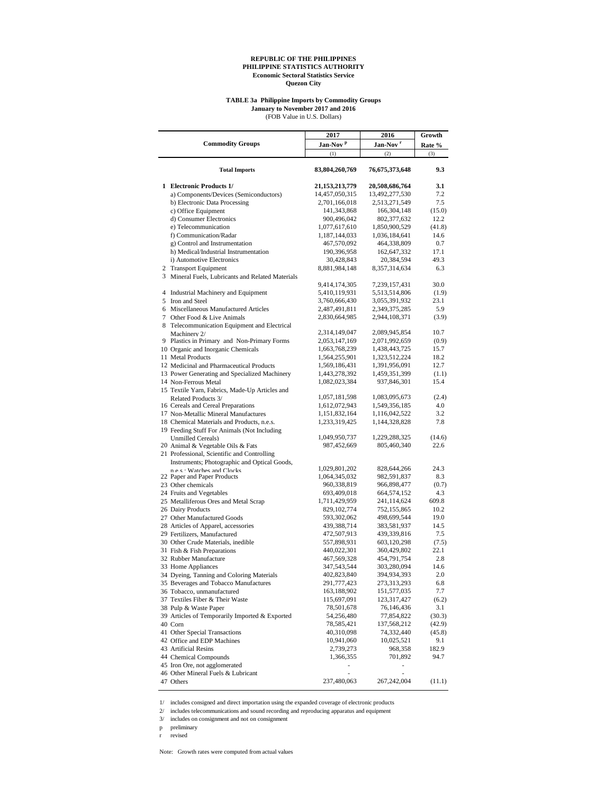#### **TABLE 3a Philippine Imports by Commodity Groups January to November 2017 and 2016**

(FOB Value in U.S. Dollars)

|                                                           | 2017                 | 2016                 | Growth        |
|-----------------------------------------------------------|----------------------|----------------------|---------------|
| <b>Commodity Groups</b>                                   | Jan-Nov <sup>p</sup> | Jan-Nov <sup>r</sup> | Rate %        |
|                                                           | (1)                  | (2)                  | (3)           |
| <b>Total Imports</b>                                      | 83,804,260,769       | 76,675,373,648       | 9.3           |
| 1 Electronic Products 1/                                  | 21, 153, 213, 779    | 20,508,686,764       | 3.1           |
| a) Components/Devices (Semiconductors)                    | 14,457,050,315       | 13,492,277,530       | 7.2           |
| b) Electronic Data Processing                             | 2,701,166,018        | 2,513,271,549        | 7.5           |
| c) Office Equipment                                       | 141, 343, 868        | 166, 304, 148        | (15.0)        |
| d) Consumer Electronics                                   | 900,496,042          | 802, 377, 632        | 12.2          |
| e) Telecommunication                                      | 1,077,617,610        | 1,850,900,529        | (41.8)        |
| f) Communication/Radar                                    | 1,187,144,033        | 1,036,184,641        | 14.6          |
| g) Control and Instrumentation                            | 467,570,092          | 464,338,809          | 0.7           |
| h) Medical/Industrial Instrumentation                     | 190.396.958          | 162,647,332          | 17.1          |
| i) Automotive Electronics                                 | 30,428,843           | 20,384,594           | 49.3          |
| 2 Transport Equipment                                     | 8,881,984,148        | 8,357,314,634        | 6.3           |
| 3 Mineral Fuels, Lubricants and Related Materials         |                      |                      |               |
|                                                           | 9,414,174,305        | 7,239,157,431        | 30.0          |
| 4 Industrial Machinery and Equipment                      | 5,410,119,931        | 5,513,514,806        | (1.9)<br>23.1 |
| 5 Iron and Steel<br>6 Miscellaneous Manufactured Articles | 3,760,666,430        | 3,055,391,932        | 5.9           |
| 7 Other Food & Live Animals                               | 2,487,491,811        | 2,349,375,285        |               |
| 8 Telecommunication Equipment and Electrical              | 2,830,664,985        | 2,944,108,371        | (3.9)         |
| Machinery 2/                                              | 2,314,149,047        | 2,089,945,854        | 10.7          |
| 9 Plastics in Primary and Non-Primary Forms               | 2,053,147,169        | 2,071,992,659        | (0.9)         |
| 10 Organic and Inorganic Chemicals                        | 1,663,768,239        | 1,438,443,725        | 15.7          |
| 11 Metal Products                                         | 1,564,255,901        | 1,323,512,224        | 18.2          |
| 12 Medicinal and Pharmaceutical Products                  | 1,569,186,431        | 1,391,956,091        | 12.7          |
| 13 Power Generating and Specialized Machinery             | 1,443,278,392        | 1,459,351,399        | (1.1)         |
| 14 Non-Ferrous Metal                                      | 1,082,023,384        | 937,846,301          | 15.4          |
| 15 Textile Yarn, Fabrics, Made-Up Articles and            |                      |                      |               |
| Related Products 3/                                       | 1,057,181,598        | 1,083,095,673        | (2.4)         |
| 16 Cereals and Cereal Preparations                        | 1,612,072,943        | 1,549,356,185        | 4.0           |
| 17 Non-Metallic Mineral Manufactures                      | 1,151,832,164        | 1,116,042,522        | 3.2           |
| 18 Chemical Materials and Products, n.e.s.                | 1,233,319,425        | 1,144,328,828        | 7.8           |
| 19 Feeding Stuff For Animals (Not Including               |                      |                      |               |
| <b>Unmilled Cereals)</b>                                  | 1,049,950,737        | 1,229,288,325        | (14.6)        |
| 20 Animal & Vegetable Oils & Fats                         | 987,452,669          | 805,460,340          | 22.6          |
| 21 Professional, Scientific and Controlling               |                      |                      |               |
| Instruments; Photographic and Optical Goods,              | 1,029,801,202        | 828,644,266          | 24.3          |
| n e c · Watches and Clocks<br>22 Paper and Paper Products | 1,064,345,032        | 982,591,837          | 8.3           |
| 23 Other chemicals                                        | 960,338,819          | 966,898,477          | (0.7)         |
| 24 Fruits and Vegetables                                  | 693,409,018          | 664,574,152          | 4.3           |
| 25 Metalliferous Ores and Metal Scrap                     | 1,711,429,959        | 241,114,624          | 609.8         |
| 26 Dairy Products                                         | 829, 102, 774        | 752,155,865          | 10.2          |
| 27 Other Manufactured Goods                               | 593,302,062          | 498,699,544          | 19.0          |
| 28 Articles of Apparel, accessories                       | 439,388,714          | 383,581,937          | 14.5          |
| 29 Fertilizers, Manufactured                              | 472,507,913          | 439,339,816          | 7.5           |
| 30 Other Crude Materials, inedible                        | 557,898,931          | 603,120,298          | (7.5)         |
| 31 Fish & Fish Preparations                               | 440,022,301          | 360,429,802          | 22.1          |
| 32 Rubber Manufacture                                     | 467,569,328          | 454,791,754          | 2.8           |
| 33 Home Appliances                                        | 347,543,544          | 303,280,094          | 14.6          |
| 34 Dyeing, Tanning and Coloring Materials                 | 402,823,840          | 394,934,393          | 2.0           |
| 35 Beverages and Tobacco Manufactures                     | 291,777,423          | 273,313,293          | 6.8           |
| 36 Tobacco, unmanufactured                                | 163,188,902          | 151,577,035          | 7.7           |
| 37 Textiles Fiber & Their Waste                           | 115,697,091          | 123,317,427          | (6.2)         |
| 38 Pulp & Waste Paper                                     | 78,501,678           | 76,146,436           | 3.1           |
| 39 Articles of Temporarily Imported & Exported            | 54,256,480           | 77,854,822           | (30.3)        |
| 40 Corn                                                   | 78,585,421           | 137,568,212          | (42.9)        |
| 41 Other Special Transactions                             | 40,310,098           | 74,332,440           | (45.8)        |
| 42 Office and EDP Machines                                | 10,941,060           | 10,025,521           | 9.1           |
| 43 Artificial Resins                                      | 2,739,273            | 968,358              | 182.9         |
| 44 Chemical Compounds                                     | 1,366,355            | 701,892              | 94.7          |
| 45 Iron Ore, not agglomerated                             |                      |                      |               |
| 46 Other Mineral Fuels & Lubricant                        |                      |                      |               |
| 47 Others                                                 | 237,480,063          | 267,242,004          | (11.1)        |

1/ includes consigned and direct importation using the expanded coverage of electronic products

2/ includes telecommunications and sound recording and reproducing apparatus and equipment

3/ includes on consignment and not on consignment

p preliminary

r revised

Note: Growth rates were computed from actual values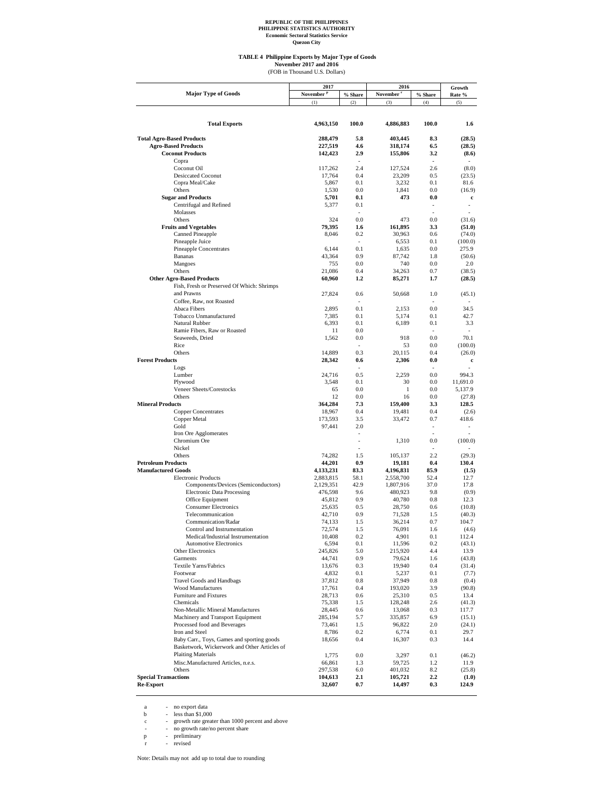**TABLE 4 Philippine Exports by Major Type of Goods**

November 2017 and 2016<br>(FOB in Thousand U.S. Dollars)

|                                                  | 2017                  |                | 2016                  |                          | Growth            |
|--------------------------------------------------|-----------------------|----------------|-----------------------|--------------------------|-------------------|
| <b>Major Type of Goods</b>                       | November <sup>P</sup> | % Share        | November <sup>r</sup> | % Share                  | Rate %            |
|                                                  | (1)                   | (2)            | (3)                   | (4)                      | (5)               |
|                                                  |                       |                |                       |                          |                   |
|                                                  |                       |                |                       |                          |                   |
| <b>Total Exports</b>                             | 4,963,150             | 100.0          | 4,886,883             | 100.0                    | 1.6               |
| <b>Total Agro-Based Products</b>                 | 288,479               | 5.8            | 403,445               | 8.3                      | (28.5)            |
| <b>Agro-Based Products</b>                       | 227,519               | 4.6            | 318,174               | 6.5                      | (28.5)            |
| <b>Coconut Products</b>                          | 142,423               | 2.9            | 155,806               | 3.2                      | (8.6)             |
| Copra                                            |                       |                |                       |                          |                   |
| Coconut Oil                                      | 117,262               | 2.4            | 127,524               | 2.6                      | (8.0)             |
| <b>Desiccated Coconut</b>                        | 17,764                | 0.4            | 23,209                | 0.5                      | (23.5)            |
| Copra Meal/Cake                                  | 5,867                 | 0.1            | 3,232                 | 0.1                      | 81.6              |
| Others                                           | 1,530                 | 0.0            | 1,841                 | 0.0                      | (16.9)            |
| <b>Sugar and Products</b>                        | 5,701                 | 0.1            | 473                   | 0.0                      | c                 |
| Centrifugal and Refined                          | 5,377                 | 0.1            |                       |                          |                   |
| Molasses                                         |                       |                |                       |                          |                   |
| Others                                           | 324<br>79,395         | 0.0<br>1.6     | 473                   | 0.0<br>3.3               | (31.6)            |
| <b>Fruits and Vegetables</b><br>Canned Pineapple | 8,046                 | 0.2            | 161,895<br>30,963     | 0.6                      | (51.0)            |
| Pineapple Juice                                  |                       |                | 6,553                 | 0.1                      | (74.0)<br>(100.0) |
| <b>Pineapple Concentrates</b>                    | 6,144                 | 0.1            | 1,635                 | 0.0                      | 275.9             |
| Bananas                                          | 43,364                | 0.9            | 87,742                | 1.8                      | (50.6)            |
| Mangoes                                          | 755                   | 0.0            | 740                   | 0.0                      | 2.0               |
| Others                                           | 21,086                | 0.4            | 34,263                | 0.7                      | (38.5)            |
| <b>Other Agro-Based Products</b>                 | 60,960                | 1.2            | 85,271                | 1.7                      | (28.5)            |
| Fish, Fresh or Preserved Of Which: Shrimps       |                       |                |                       |                          |                   |
| and Prawns                                       | 27,824                | 0.6            | 50,668                | 1.0                      | (45.1)            |
| Coffee, Raw, not Roasted                         |                       |                |                       |                          |                   |
| Abaca Fibers                                     | 2,895                 | 0.1            | 2,153                 | 0.0                      | 34.5              |
| Tobacco Unmanufactured                           | 7,385                 | 0.1            | 5,174                 | 0.1                      | 42.7              |
| Natural Rubber                                   | 6,393                 | 0.1            | 6,189                 | 0.1                      | 3.3               |
| Ramie Fibers, Raw or Roasted                     | 11                    | 0.0            |                       | $\overline{\phantom{a}}$ |                   |
| Seaweeds, Dried                                  | 1,562                 | 0.0            | 918                   | 0.0                      | 70.1              |
| Rice                                             |                       | $\sim$         | 53                    | 0.0                      | (100.0)           |
| Others                                           | 14,889                | 0.3            | 20,115                | 0.4                      | (26.0)            |
| <b>Forest Products</b>                           | 28,342                | 0.6            | 2,306                 | 0.0                      | c                 |
| Logs                                             |                       |                |                       |                          |                   |
| Lumber<br>Plywood                                | 24,716<br>3,548       | 0.5<br>0.1     | 2,259<br>30           | 0.0<br>0.0               | 994.3<br>11,691.0 |
| Veneer Sheets/Corestocks                         | 65                    | 0.0            | 1                     | 0.0                      | 5,137.9           |
| Others                                           | 12                    | 0.0            | 16                    | 0.0                      | (27.8)            |
| <b>Mineral Products</b>                          | 364,284               | 7.3            | 159,400               | 3.3                      | 128.5             |
| <b>Copper Concentrates</b>                       | 18,967                | 0.4            | 19,481                | 0.4                      | (2.6)             |
| Copper Metal                                     | 173,593               | 3.5            | 33,472                | 0.7                      | 418.6             |
| Gold                                             | 97,441                | 2.0            |                       | $\tilde{\phantom{a}}$    |                   |
| Iron Ore Agglomerates                            |                       |                |                       |                          |                   |
| Chromium Ore                                     |                       |                | 1,310                 | 0.0                      | (100.0)           |
| Nickel                                           |                       | $\overline{a}$ |                       |                          |                   |
| Others                                           | 74,282                | 1.5            | 105,137               | 2.2                      | (29.3)            |
| <b>Petroleum Products</b>                        | 44,201                | 0.9            | 19,181                | 0.4                      | 130.4             |
| <b>Manufactured Goods</b>                        | 4,133,231             | 83.3           | 4,196,831             | 85.9                     | (1.5)             |
| <b>Electronic Products</b>                       | 2,883,815             | 58.1           | 2,558,700             | 52.4                     | 12.7              |
| Components/Devices (Semiconductors)              | 2,129,351             | 42.9           | 1,807,916             | 37.0                     | 17.8              |
| <b>Electronic Data Processing</b>                | 476,598               | 9.6<br>0.9     | 480,923               | 9.8<br>0.8               | (0.9)<br>12.3     |
| Office Equipment<br><b>Consumer Electronics</b>  | 45,812                |                | 40,780                |                          |                   |
| Telecommunication                                | 25,635<br>42,710      | 0.5<br>0.9     | 28,750<br>71,528      | 0.6<br>1.5               | (10.8)<br>(40.3)  |
| Communication/Radar                              | 74,133                | 1.5            | 36,214                | 0.7                      | 104.7             |
| Control and Instrumentation                      | 72,574                | 1.5            | 76,091                | 1.6                      | (4.6)             |
| Medical/Industrial Instrumentation               | 10,408                | 0.2            | 4,901                 | 0.1                      | 112.4             |
| <b>Automotive Electronics</b>                    | 6,594                 | 0.1            | 11,596                | 0.2                      | (43.1)            |
| Other Electronics                                | 245,826               | 5.0            | 215,920               | 4.4                      | 13.9              |
| Garments                                         | 44,741                | 0.9            | 79,624                | 1.6                      | (43.8)            |
| Textile Yarns/Fabrics                            | 13,676                | 0.3            | 19,940                | 0.4                      | (31.4)            |
| Footwear                                         | 4,832                 | 0.1            | 5,237                 | 0.1                      | (7.7)             |
| <b>Travel Goods and Handbags</b>                 | 37,812                | $0.8\,$        | 37,949                | 0.8                      | (0.4)             |
| <b>Wood Manufactures</b>                         | 17,761                | 0.4            | 193,020               | 3.9                      | (90.8)            |
| Furniture and Fixtures                           | 28,713                | 0.6            | 25,310                | 0.5                      | 13.4              |
| Chemicals                                        | 75,338                | 1.5            | 128,248               | 2.6                      | (41.3)            |
| Non-Metallic Mineral Manufactures                | 28,445                | 0.6            | 13,068                | 0.3                      | 117.7             |
| Machinery and Transport Equipment                | 285,194               | 5.7            | 335,857               | 6.9                      | (15.1)            |
| Processed food and Beverages<br>Iron and Steel   | 73,461<br>8,786       | 1.5<br>0.2     | 96,822<br>6,774       | 2.0<br>0.1               | (24.1)<br>29.7    |
| Baby Carr., Toys, Games and sporting goods       | 18,656                | 0.4            | 16,307                | 0.3                      | 14.4              |
| Basketwork, Wickerwork and Other Articles of     |                       |                |                       |                          |                   |
| <b>Plaiting Materials</b>                        | 1,775                 | 0.0            | 3,297                 | 0.1                      | (46.2)            |
| Misc.Manufactured Articles, n.e.s.               | 66,861                | 1.3            | 59,725                | 1.2                      | 11.9              |
| Others                                           | 297,538               | 6.0            | 401,032               | 8.2                      | (25.8)            |
| <b>Special Transactions</b>                      | 104,613               | 2.1            | 105,721               | $2.2^{\circ}$            | (1.0)             |
| <b>Re-Export</b>                                 | 32,607                | 0.7            | 14,497                | 0.3                      | 124.9             |
|                                                  |                       |                |                       |                          |                   |

a - no export data<br>
b - less than \$1,000<br>
c - growth rate greater than 1000 percent and above<br>
- no growth rate/no percent share<br>
p - preliminary<br>
r - revised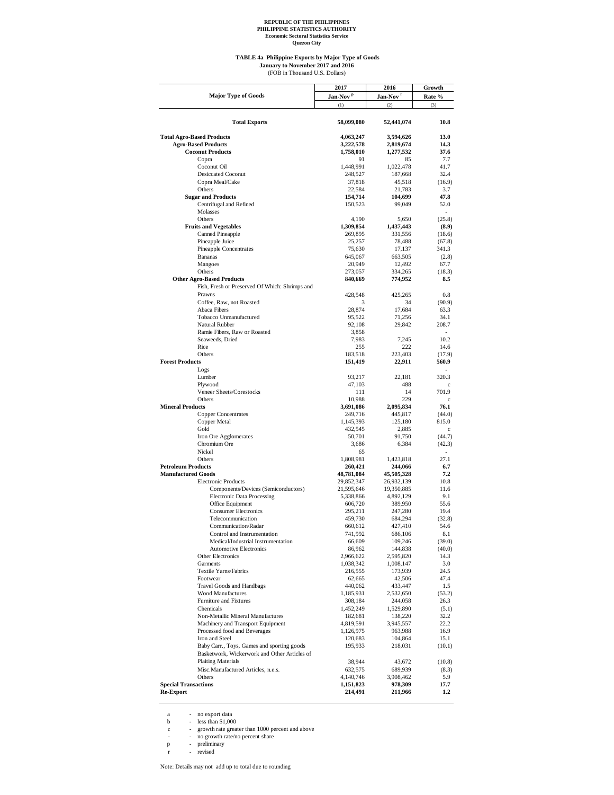**Quezon City**

## **TABLE 4a Philippine Exports by Major Type of Goods** (FOB in Thousand U.S. Dollars) **January to November 2017 and 2016**

|                                                | 2017                 | 2016                 | Growth           |
|------------------------------------------------|----------------------|----------------------|------------------|
| <b>Major Type of Goods</b>                     | Jan-Nov <sup>p</sup> | Jan-Nov <sup>r</sup> | Rate %           |
|                                                | (1)                  | (2)                  | (3)              |
|                                                |                      |                      |                  |
| <b>Total Exports</b>                           | 58,099,080           | 52,441,074           | 10.8             |
|                                                |                      |                      |                  |
| <b>Total Agro-Based Products</b>               | 4,063,247            | 3.594.626            | 13.0             |
| <b>Agro-Based Products</b>                     | 3,222,578            | 2,819,674            | 14.3             |
| <b>Coconut Products</b>                        | 1,758,010            | 1,277,532            | 37.6             |
| Copra                                          | 91                   | 85                   | 7.7              |
| Coconut Oil                                    | 1,448,991            | 1,022,478            | 41.7             |
| <b>Desiccated Coconut</b>                      | 248,527              | 187,668              | 32.4             |
| Copra Meal/Cake                                | 37,818               | 45,518               | (16.9)           |
| Others                                         | 22,584               | 21,783               | 3.7              |
| <b>Sugar and Products</b>                      | 154,714              | 104,699              | 47.8             |
| Centrifugal and Refined                        | 150,523              | 99,049               | 52.0             |
| Molasses                                       |                      |                      |                  |
| Others                                         | 4,190                | 5,650                | (25.8)           |
| <b>Fruits and Vegetables</b>                   | 1,309,854            | 1,437,443            | (8.9)            |
| Canned Pineapple                               | 269,895              | 331,556              | (18.6)           |
| Pineapple Juice                                | 25,257               | 78,488               | (67.8)           |
| Pineapple Concentrates                         | 75,630               | 17,137               | 341.3            |
| <b>Bananas</b>                                 | 645,067              | 663,505              | (2.8)            |
| Mangoes                                        | 20,949               | 12,492               | 67.7             |
| Others                                         | 273,057              | 334,265              | (18.3)           |
| <b>Other Agro-Based Products</b>               | 840,669              | 774,952              | 8.5              |
| Fish, Fresh or Preserved Of Which: Shrimps and |                      |                      |                  |
| Prawns                                         | 428,548              | 425,265              | 0.8              |
| Coffee, Raw, not Roasted                       | 3                    | 34                   | (90.9)           |
| Abaca Fibers                                   | 28,874               | 17,684               | 63.3             |
| Tobacco Unmanufactured                         | 95,522               | 71,256               | 34.1             |
| Natural Rubber                                 | 92,108               | 29,842               | 208.7            |
| Ramie Fibers, Raw or Roasted                   | 3,858                |                      |                  |
| Seaweeds, Dried                                | 7,983                | 7,245                | 10.2             |
| Rice                                           | 255                  | 222                  | 14.6             |
| Others                                         | 183,518              | 223,403              | (17.9)           |
| <b>Forest Products</b>                         | 151,419              | 22,911               | 560.9            |
| Logs                                           |                      |                      |                  |
| Lumber                                         | 93,217               | 22,181               | 320.3            |
| Plywood                                        | 47,103               | 488                  | c                |
| Veneer Sheets/Corestocks                       | 111                  | 14                   | 701.9            |
| Others                                         | 10,988               | 229                  | $\mathbf c$      |
| <b>Mineral Products</b>                        | 3,691,086            | 2,095,834            | 76.1             |
| <b>Copper Concentrates</b>                     | 249,716              | 445,817              | (44.0)           |
| Copper Metal                                   | 1,145,393            | 125,180              | 815.0            |
| Gold                                           | 432,545              | 2,885                | c                |
| Iron Ore Agglomerates                          | 50,701               | 91,750               | (44.7)           |
| Chromium Ore                                   | 3,686                | 6,384                | (42.3)           |
| Nickel                                         | 65                   |                      |                  |
| Others                                         | 1,808,981            | 1,423,818            | 27.1             |
| <b>Petroleum Products</b>                      | 260,421              | 244,066              | 6.7              |
| <b>Manufactured Goods</b>                      | 48,781,084           | 45,505,328           | 7.2              |
| <b>Electronic Products</b>                     | 29,852,347           | 26,932,139           | 10.8             |
| Components/Devices (Semiconductors)            | 21,595,646           | 19,350,885           | 11.6             |
| <b>Electronic Data Processing</b>              | 5,338,866            | 4,892,129            | 9.1              |
| Office Equipment                               | 606,720              | 389,950              | 55.6             |
| <b>Consumer Electronics</b>                    | 295,211              | 247,280              | 19.4             |
| Telecommunication                              | 459,730              | 684,294              | (32.8)           |
| Communication/Radar                            | 660,612              | 427,410              | 54.6             |
| Control and Instrumentation                    | 741,992              | 686,106              | 8.1              |
| Medical/Industrial Instrumentation             | 66,609               | 109,246              | (39.0)           |
| <b>Automotive Electronics</b>                  | 86,962               | 144,838              | (40.0)           |
| Other Electronics                              | 2,966,622            | 2,595,820            | 14.3             |
| Garments                                       | 1,038,342            | 1,008,147            | 3.0              |
| Textile Yarns/Fabrics                          | 216,555              | 173,939              | 24.5             |
| Footwear                                       | 62,665               | 42,506               | 47.4             |
| <b>Travel Goods and Handbags</b>               | 440,062              | 433,447              | 1.5              |
| <b>Wood Manufactures</b>                       | 1,185,931            | 2,532,650            | (53.2)           |
| Furniture and Fixtures                         | 308,184              | 244,058              | 26.3             |
| Chemicals                                      | 1,452,249            | 1,529,890            | (5.1)            |
| Non-Metallic Mineral Manufactures              | 182,681              | 138,220              | 32.2             |
| Machinery and Transport Equipment              | 4,819,591            | 3,945,557            | 22.2             |
| Processed food and Beverages                   | 1,126,975            | 963,988              | 16.9             |
| Iron and Steel                                 | 120,683              | 104,864              | 15.1             |
| Baby Carr., Toys, Games and sporting goods     | 195,933              | 218,031              | (10.1)           |
| Basketwork, Wickerwork and Other Articles of   |                      |                      |                  |
| <b>Plaiting Materials</b>                      | 38,944               | 43,672               | (10.8)           |
| Misc.Manufactured Articles, n.e.s.             | 632,575              | 689,939              | (8.3)            |
| Others                                         | 4,140,746            | 3,908,462            | 5.9              |
| <b>Special Transactions</b>                    | 1,151,823            | 978,309              | 17.7             |
| <b>Re-Export</b>                               | 214,491              | 211,966              | $1.2\phantom{0}$ |
|                                                |                      |                      |                  |

a - no export data<br>
b - less than \$1,000<br>
c - growth rate greater than 1000 percent and above<br>
- no growth rate/no percent share<br>
p - preliminary<br>
r - revised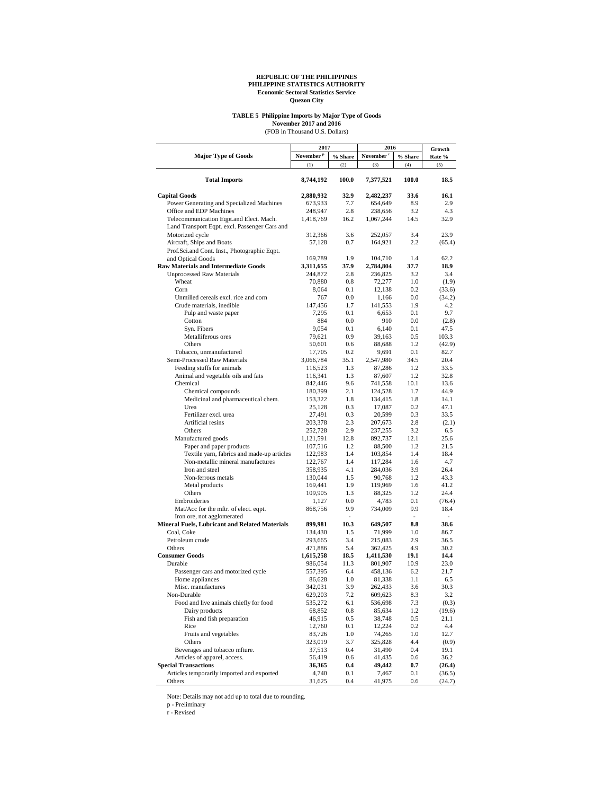## **TABLE 5 Philippine Imports by Major Type of Goods**

November 2017 and 2016<br>(FOB in Thousand U.S. Dollars)

|                                                       | 2017                  |                | 2016                  | Growth                   |                 |
|-------------------------------------------------------|-----------------------|----------------|-----------------------|--------------------------|-----------------|
| <b>Major Type of Goods</b>                            | November <sup>P</sup> | % Share        | November <sup>r</sup> | % Share                  | Rate %          |
|                                                       | (1)                   | (2)            | (3)                   | (4)                      | (5)             |
| <b>Total Imports</b>                                  | 8,744,192             | 100.0          | 7,377,521             | 100.0                    | 18.5            |
| <b>Capital Goods</b>                                  | 2,880,932             | 32.9           | 2,482,237             | 33.6                     | 16.1            |
| Power Generating and Specialized Machines             | 673,933               | 7.7            | 654,649               | 8.9                      | 2.9             |
| Office and EDP Machines                               | 248,947               | 2.8            | 238,656               | 3.2                      | 4.3             |
| Telecommunication Eqpt.and Elect. Mach.               | 1,418,769             | 16.2           | 1,067,244             | 14.5                     | 32.9            |
| Land Transport Eqpt. excl. Passenger Cars and         |                       |                |                       |                          |                 |
| Motorized cycle                                       | 312,366               | 3.6            | 252,057               | 3.4                      | 23.9            |
| Aircraft, Ships and Boats                             | 57,128                | 0.7            | 164,921               | 2.2                      | (65.4)          |
| Prof.Sci.and Cont. Inst., Photographic Eqpt.          |                       |                |                       |                          |                 |
| and Optical Goods                                     | 169,789               | 1.9            | 104,710               | 1.4                      | 62.2            |
| <b>Raw Materials and Intermediate Goods</b>           | 3,311,655             | 37.9           | 2,784,804             | 37.7                     | 18.9            |
| <b>Unprocessed Raw Materials</b>                      | 244,872               | 2.8            | 236,825               | 3.2                      | 3.4             |
| Wheat                                                 | 70,880                | $0.8\,$        | 72,277                | 1.0                      | (1.9)           |
| Corn                                                  | 8.064                 | 0.1            | 12,138                | 0.2                      | (33.6)          |
| Unmilled cereals excl. rice and corn                  | 767                   | 0.0            | 1,166                 | 0.0                      | (34.2)          |
| Crude materials, inedible                             | 147,456               | 1.7            | 141,553               | 1.9                      | 4.2             |
| Pulp and waste paper                                  | 7,295                 | 0.1            | 6,653                 | 0.1                      | 9.7             |
| Cotton                                                | 884<br>9,054          | 0.0<br>0.1     | 910                   | 0.0<br>0.1               | (2.8)<br>47.5   |
| Syn. Fibers<br>Metalliferous ores                     |                       | 0.9            | 6,140                 | 0.5                      |                 |
| Others                                                | 79,621<br>50,601      | 0.6            | 39,163                | 1.2                      | 103.3<br>(42.9) |
| Tobacco, unmanufactured                               | 17,705                | 0.2            | 88,688<br>9,691       | 0.1                      | 82.7            |
| Semi-Processed Raw Materials                          | 3,066,784             | 35.1           | 2,547,980             | 34.5                     | 20.4            |
| Feeding stuffs for animals                            | 116,523               | 1.3            | 87,286                | 1.2                      | 33.5            |
| Animal and vegetable oils and fats                    | 116,341               | 1.3            | 87,607                | 1.2                      | 32.8            |
| Chemical                                              | 842,446               | 9.6            | 741,558               | 10.1                     | 13.6            |
| Chemical compounds                                    | 180,399               | 2.1            | 124,528               | 1.7                      | 44.9            |
| Medicinal and pharmaceutical chem.                    | 153,322               | 1.8            | 134,415               | 1.8                      | 14.1            |
| Urea                                                  | 25,128                | 0.3            | 17,087                | 0.2                      | 47.1            |
| Fertilizer excl. urea                                 | 27,491                | 0.3            | 20,599                | 0.3                      | 33.5            |
| Artificial resins                                     | 203,378               | 2.3            | 207,673               | 2.8                      | (2.1)           |
| Others                                                | 252,728               | 2.9            | 237,255               | 3.2                      | 6.5             |
| Manufactured goods                                    | 1,121,591             | 12.8           | 892,737               | 12.1                     | 25.6            |
| Paper and paper products                              | 107,516               | 1.2            | 88,500                | 1.2                      | 21.5            |
| Textile yarn, fabrics and made-up articles            | 122,983               | 1.4            | 103,854               | 1.4                      | 18.4            |
| Non-metallic mineral manufactures                     | 122,767               | 1.4            | 117,284               | 1.6                      | 4.7             |
| Iron and steel                                        | 358,935               | 4.1            | 284,036               | 3.9                      | 26.4            |
| Non-ferrous metals                                    | 130,044               | 1.5            | 90,768                | 1.2                      | 43.3            |
| Metal products                                        | 169,441               | 1.9            | 119,969               | 1.6                      | 41.2            |
| Others                                                | 109,905               | 1.3            | 88,325                | 1.2                      | 24.4            |
| Embroideries                                          | 1,127                 | 0.0            | 4,783                 | 0.1                      | (76.4)          |
| Mat/Acc for the mftr. of elect. eqpt.                 | 868,756               | 9.9            | 734,009               | 9.9                      | 18.4            |
| Iron ore, not agglomerated                            |                       | $\overline{a}$ |                       | $\overline{\phantom{a}}$ | ٠               |
| <b>Mineral Fuels, Lubricant and Related Materials</b> | 899,981               | 10.3           | 649,507               | 8.8                      | 38.6            |
| Coal, Coke                                            | 134,430               | 1.5            | 71,999                | 1.0                      | 86.7            |
| Petroleum crude                                       | 293,665               | 3.4            | 215,083               | 2.9                      | 36.5            |
| Others<br><b>Consumer Goods</b>                       | 471,886               | 5.4            | 362,425               | 4.9<br>19.1              | 30.2            |
| Durable                                               | 1,615,258<br>986,054  | 18.5<br>11.3   | 1,411,530             | 10.9                     | 14.4            |
| Passenger cars and motorized cycle                    |                       | 6.4            | 801,907<br>458,136    | 6.2                      | 23.0<br>21.7    |
| Home appliances                                       | 557,395<br>86,628     | 1.0            | 81,338                | 1.1                      | 6.5             |
| Misc. manufactures                                    | 342,031               | 3.9            | 262,433               | 3.6                      | 30.3            |
| Non-Durable                                           | 629,203               | 7.2            | 609,623               | 8.3                      | 3.2             |
| Food and live animals chiefly for food                | 535,272               | 6.1            | 536,698               | 7.3                      | (0.3)           |
| Dairy products                                        | 68,852                | 0.8            | 85,634                | 1.2                      | (19.6)          |
| Fish and fish preparation                             | 46,915                | 0.5            | 38,748                | 0.5                      | 21.1            |
| Rice                                                  | 12,760                | $0.1\,$        | 12,224                | 0.2                      | 4.4             |
| Fruits and vegetables                                 | 83,726                | 1.0            | 74,265                | 1.0                      | 12.7            |
| Others                                                | 323,019               | 3.7            | 325,828               | 4.4                      | (0.9)           |
| Beverages and tobacco mfture.                         | 37,513                | 0.4            | 31,490                | 0.4                      | 19.1            |
| Articles of apparel, access.                          | 56,419                | 0.6            | 41,435                | 0.6                      | 36.2            |
| <b>Special Transactions</b>                           | 36,365                | 0.4            | 49,442                | 0.7                      | (26.4)          |
| Articles temporarily imported and exported            | 4,740                 | $0.1\,$        | 7,467                 | 0.1                      | (36.5)          |
| Others                                                | 31,625                | 0.4            | 41,975                | 0.6                      | (24.7)          |

Note: Details may not add up to total due to rounding.

p - Preliminary r - Revised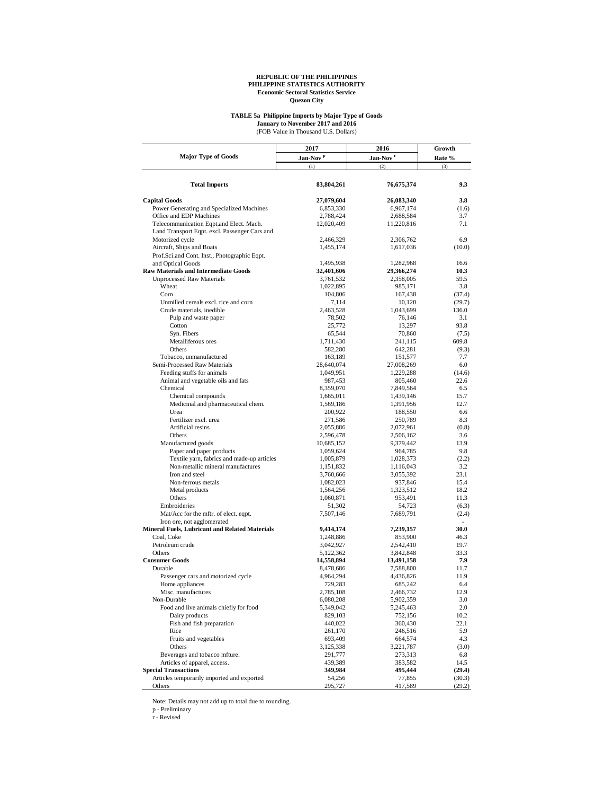## **TABLE 5a Philippine Imports by Major Type of Goods**

(FOB Value in Thousand U.S. Dollars) **January to November 2017 and 2016**

|                                                                   | 2017                    | 2016                    | Growth       |
|-------------------------------------------------------------------|-------------------------|-------------------------|--------------|
| <b>Major Type of Goods</b>                                        | Jan-Nov <sup>P</sup>    | Jan-Nov <sup>r</sup>    | Rate %       |
|                                                                   | (1)                     | (2)                     | (3)          |
| <b>Total Imports</b>                                              | 83,804,261              | 76,675,374              | 9.3          |
|                                                                   |                         |                         |              |
| <b>Capital Goods</b><br>Power Generating and Specialized Machines | 27,079,604              | 26,083,340              | 3.8          |
| Office and EDP Machines                                           | 6,853,330               | 6,967,174               | (1.6)<br>3.7 |
| Telecommunication Eqpt.and Elect. Mach.                           | 2,788,424<br>12,020,409 | 2,688,584               | 7.1          |
| Land Transport Eqpt. excl. Passenger Cars and                     |                         | 11,220,816              |              |
| Motorized cycle                                                   | 2,466,329               | 2,306,762               | 6.9          |
| Aircraft, Ships and Boats                                         | 1,455,174               | 1,617,036               | (10.0)       |
| Prof.Sci.and Cont. Inst., Photographic Eqpt.                      |                         |                         |              |
| and Optical Goods                                                 | 1,495,938               | 1,282,968               | 16.6         |
| <b>Raw Materials and Intermediate Goods</b>                       | 32,401,606              | 29,366,274              | 10.3         |
| <b>Unprocessed Raw Materials</b>                                  | 3,761,532               | 2,358,005               | 59.5         |
| Wheat                                                             | 1,022,895               | 985,171                 | 3.8          |
| Corn                                                              | 104,806                 | 167,438                 | (37.4)       |
| Unmilled cereals excl. rice and corn                              | 7,114                   | 10,120                  | (29.7)       |
| Crude materials, inedible                                         | 2,463,528               | 1,043,699               | 136.0        |
| Pulp and waste paper                                              | 78,502                  | 76,146                  | 3.1          |
| Cotton                                                            | 25,772                  | 13,297                  | 93.8         |
| Syn. Fibers                                                       | 65,544                  | 70,860                  | (7.5)        |
| Metalliferous ores                                                | 1,711,430               | 241,115                 | 609.8        |
| Others                                                            | 582,280                 | 642,281                 | (9.3)        |
| Tobacco, unmanufactured                                           | 163,189                 | 151,577                 | 7.7          |
| Semi-Processed Raw Materials                                      | 28,640,074              | 27,008,269              | 6.0          |
| Feeding stuffs for animals                                        | 1,049,951               | 1,229,288               | (14.6)       |
| Animal and vegetable oils and fats                                | 987,453                 | 805,460                 | 22.6         |
| Chemical                                                          | 8,359,070               | 7,849,564               | 6.5<br>15.7  |
| Chemical compounds<br>Medicinal and pharmaceutical chem.          | 1,665,011               | 1,439,146<br>1,391,956  | 12.7         |
| Urea                                                              | 1,569,186<br>200,922    | 188,550                 | 6.6          |
| Fertilizer excl. urea                                             | 271,586                 | 250,789                 | 8.3          |
| Artificial resins                                                 | 2,055,886               | 2,072,961               | (0.8)        |
| Others                                                            | 2,596,478               | 2,506,162               | 3.6          |
| Manufactured goods                                                | 10,685,152              | 9,379,442               | 13.9         |
| Paper and paper products                                          | 1,059,624               | 964,785                 | 9.8          |
| Textile yarn, fabrics and made-up articles                        | 1,005,879               | 1,028,373               | (2.2)        |
| Non-metallic mineral manufactures                                 | 1,151,832               | 1,116,043               | 3.2          |
| Iron and steel                                                    | 3,760,666               | 3,055,392               | 23.1         |
| Non-ferrous metals                                                | 1,082,023               | 937,846                 | 15.4         |
| Metal products                                                    | 1,564,256               | 1,323,512               | 18.2         |
| Others                                                            | 1,060,871               | 953,491                 | 11.3         |
| Embroideries                                                      | 51,302                  | 54,723                  | (6.3)        |
| Mat/Acc for the mftr. of elect. eqpt.                             | 7,507,146               | 7,689,791               | (2.4)        |
| Iron ore, not agglomerated                                        |                         |                         |              |
| Mineral Fuels, Lubricant and Related Materials                    | 9,414,174               | 7,239,157               | 30.0         |
| Coal, Coke                                                        | 1,248,886               | 853,900                 | 46.3         |
| Petroleum crude<br>Others                                         | 3,042,927               | 2,542,410               | 19.7         |
| <b>Consumer Goods</b>                                             | 5,122,362               | 3,842,848               | 33.3<br>7.9  |
| Durable                                                           | 14,558,894<br>8,478,686 | 13,491,158<br>7,588,800 | 11.7         |
| Passenger cars and motorized cycle                                | 4,964,294               | 4,436,826               | 11.9         |
| Home appliances                                                   | 729,283                 | 685,242                 | 6.4          |
| Misc. manufactures                                                | 2,785,108               | 2,466,732               | 12.9         |
| Non-Durable                                                       | 6,080,208               | 5,902,359               | 3.0          |
| Food and live animals chiefly for food                            | 5,349,042               | 5,245,463               | 2.0          |
| Dairy products                                                    | 829,103                 | 752,156                 | 10.2         |
| Fish and fish preparation                                         | 440,022                 | 360,430                 | 22.1         |
| Rice                                                              | 261,170                 | 246,516                 | 5.9          |
| Fruits and vegetables                                             | 693,409                 | 664,574                 | 4.3          |
| Others                                                            | 3,125,338               | 3,221,787               | (3.0)        |
| Beverages and tobacco mfture.                                     | 291,777                 | 273,313                 | 6.8          |
| Articles of apparel, access.                                      | 439,389                 | 383,582                 | 14.5         |
| <b>Special Transactions</b>                                       | 349,984                 | 495,444                 | (29.4)       |
| Articles temporarily imported and exported                        | 54,256                  | 77,855                  | (30.3)       |
| Others                                                            | 295,727                 | 417,589                 | (29.2)       |

Note: Details may not add up to total due to rounding. p - Preliminary r - Revised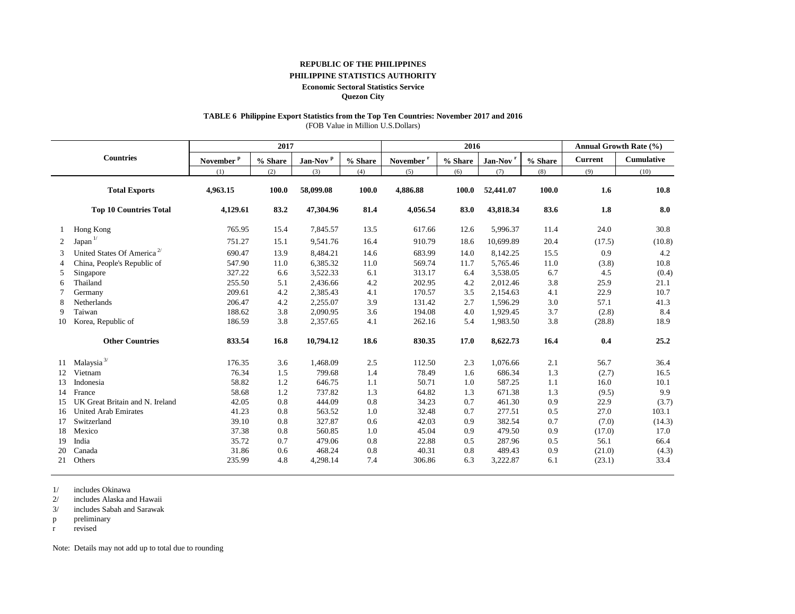### **REPUBLIC OF THE PHILIPPINES**

#### **PHILIPPINE STATISTICS AUTHORITY**

**Economic Sectoral Statistics Service**

**Quezon City**

## **TABLE 6 Philippine Export Statistics from the Top Ten Countries: November 2017 and 2016**

(FOB Value in Million U.S.Dollars)

|    |                                        |                       | 2017       |                      |         | 2016                  |         |                      |         |                | <b>Annual Growth Rate (%)</b> |
|----|----------------------------------------|-----------------------|------------|----------------------|---------|-----------------------|---------|----------------------|---------|----------------|-------------------------------|
|    | <b>Countries</b>                       | November <sup>P</sup> | $\%$ Share | Jan-Nov <sup>p</sup> | % Share | November <sup>r</sup> | % Share | Jan-Nov <sup>r</sup> | % Share | <b>Current</b> | <b>Cumulative</b>             |
|    |                                        | (1)                   | (2)        | (3)                  | (4)     | (5)                   | (6)     | (7)                  | (8)     | (9)            | (10)                          |
|    | <b>Total Exports</b>                   | 4,963.15              | 100.0      | 58,099.08            | 100.0   | 4,886.88              | 100.0   | 52,441.07            | 100.0   | 1.6            | 10.8                          |
|    | <b>Top 10 Countries Total</b>          | 4,129.61              | 83.2       | 47,304.96            | 81.4    | 4,056.54              | 83.0    | 43,818.34            | 83.6    | 1.8            | 8.0                           |
|    | Hong Kong                              | 765.95                | 15.4       | 7,845.57             | 13.5    | 617.66                | 12.6    | 5,996.37             | 11.4    | 24.0           | 30.8                          |
| 2  | Japan $1/$                             | 751.27                | 15.1       | 9,541.76             | 16.4    | 910.79                | 18.6    | 10,699.89            | 20.4    | (17.5)         | (10.8)                        |
| 3  | United States Of America <sup>2/</sup> | 690.47                | 13.9       | 8,484.21             | 14.6    | 683.99                | 14.0    | 8,142.25             | 15.5    | 0.9            | 4.2                           |
| 4  | China, People's Republic of            | 547.90                | 11.0       | 6,385.32             | 11.0    | 569.74                | 11.7    | 5,765.46             | 11.0    | (3.8)          | 10.8                          |
| 5  | Singapore                              | 327.22                | 6.6        | 3,522.33             | 6.1     | 313.17                | 6.4     | 3,538.05             | 6.7     | 4.5            | (0.4)                         |
| 6  | Thailand                               | 255.50                | 5.1        | 2,436.66             | 4.2     | 202.95                | 4.2     | 2,012.46             | 3.8     | 25.9           | 21.1                          |
|    | Germany                                | 209.61                | 4.2        | 2,385.43             | 4.1     | 170.57                | 3.5     | 2,154.63             | 4.1     | 22.9           | 10.7                          |
| 8  | Netherlands                            | 206.47                | 4.2        | 2,255.07             | 3.9     | 131.42                | 2.7     | 1,596.29             | 3.0     | 57.1           | 41.3                          |
| 9  | Taiwan                                 | 188.62                | 3.8        | 2,090.95             | 3.6     | 194.08                | 4.0     | 1,929.45             | 3.7     | (2.8)          | 8.4                           |
| 10 | Korea, Republic of                     | 186.59                | 3.8        | 2,357.65             | 4.1     | 262.16                | 5.4     | 1,983.50             | 3.8     | (28.8)         | 18.9                          |
|    | <b>Other Countries</b>                 | 833.54                | 16.8       | 10,794.12            | 18.6    | 830.35                | 17.0    | 8,622.73             | 16.4    | 0.4            | 25.2                          |
| 11 | Malaysia $3/$                          | 176.35                | 3.6        | 1,468.09             | 2.5     | 112.50                | 2.3     | 1,076.66             | 2.1     | 56.7           | 36.4                          |
| 12 | Vietnam                                | 76.34                 | 1.5        | 799.68               | 1.4     | 78.49                 | 1.6     | 686.34               | 1.3     | (2.7)          | 16.5                          |
| 13 | Indonesia                              | 58.82                 | 1.2        | 646.75               | 1.1     | 50.71                 | 1.0     | 587.25               | 1.1     | 16.0           | 10.1                          |
| 14 | France                                 | 58.68                 | 1.2        | 737.82               | 1.3     | 64.82                 | 1.3     | 671.38               | 1.3     | (9.5)          | 9.9                           |
| 15 | UK Great Britain and N. Ireland        | 42.05                 | 0.8        | 444.09               | 0.8     | 34.23                 | 0.7     | 461.30               | 0.9     | 22.9           | (3.7)                         |
| 16 | <b>United Arab Emirates</b>            | 41.23                 | 0.8        | 563.52               | 1.0     | 32.48                 | 0.7     | 277.51               | 0.5     | 27.0           | 103.1                         |
| 17 | Switzerland                            | 39.10                 | 0.8        | 327.87               | 0.6     | 42.03                 | 0.9     | 382.54               | 0.7     | (7.0)          | (14.3)                        |
| 18 | Mexico                                 | 37.38                 | 0.8        | 560.85               | 1.0     | 45.04                 | 0.9     | 479.50               | 0.9     | (17.0)         | 17.0                          |
| 19 | India                                  | 35.72                 | 0.7        | 479.06               | 0.8     | 22.88                 | 0.5     | 287.96               | 0.5     | 56.1           | 66.4                          |
| 20 | Canada                                 | 31.86                 | 0.6        | 468.24               | 0.8     | 40.31                 | 0.8     | 489.43               | 0.9     | (21.0)         | (4.3)                         |
| 21 | Others                                 | 235.99                | 4.8        | 4,298.14             | 7.4     | 306.86                | 6.3     | 3,222.87             | 6.1     | (23.1)         | 33.4                          |

1/ includes Okinawa

2/ includes Alaska and Hawaii

3/ includes Sabah and Sarawak

p preliminary

r revised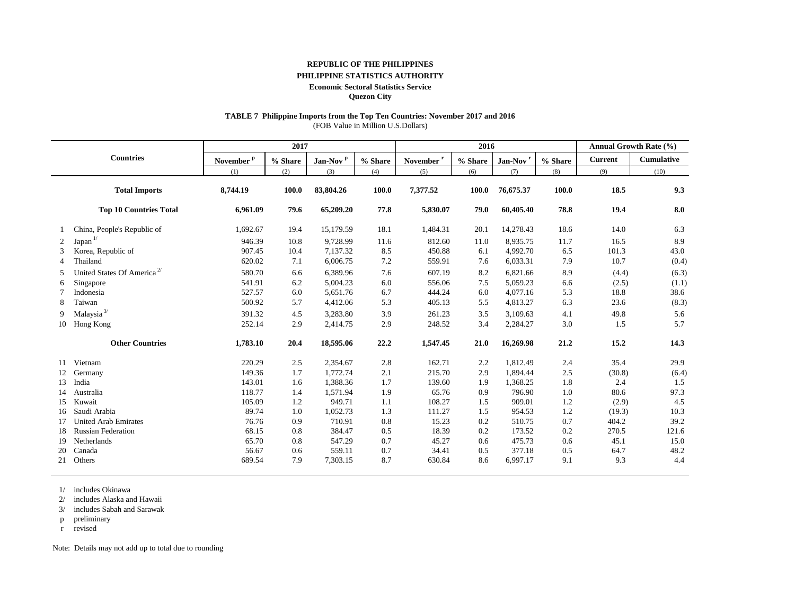### **REPUBLIC OF THE PHILIPPINES**

## **PHILIPPINE STATISTICS AUTHORITY**

#### **Economic Sectoral Statistics Service**

**Quezon City**

## **TABLE 7 Philippine Imports from the Top Ten Countries: November 2017 and 2016**

(FOB Value in Million U.S.Dollars)

|                |                                        |                       | 2017       |                      |         | 2016                  |         |                      |         |                | <b>Annual Growth Rate (%)</b> |
|----------------|----------------------------------------|-----------------------|------------|----------------------|---------|-----------------------|---------|----------------------|---------|----------------|-------------------------------|
|                | <b>Countries</b>                       | November <sup>p</sup> | $\%$ Share | Jan-Nov <sup>p</sup> | % Share | November <sup>r</sup> | % Share | Jan-Nov <sup>1</sup> | % Share | <b>Current</b> | <b>Cumulative</b>             |
|                |                                        | (1)                   | (2)        | (3)                  | (4)     | (5)                   | (6)     | (7)                  | (8)     | (9)            | (10)                          |
|                | <b>Total Imports</b>                   | 8,744.19              | 100.0      | 83,804.26            | 100.0   | 7,377.52              | 100.0   | 76,675.37            | 100.0   | 18.5           | 9.3                           |
|                | <b>Top 10 Countries Total</b>          | 6,961.09              | 79.6       | 65,209.20            | 77.8    | 5,830.07              | 79.0    | 60,405.40            | 78.8    | 19.4           | 8.0                           |
|                | China, People's Republic of            | 1,692.67              | 19.4       | 15,179.59            | 18.1    | 1,484.31              | 20.1    | 14,278.43            | 18.6    | 14.0           | 6.3                           |
| 2              | Japan <sup>1/</sup>                    | 946.39                | 10.8       | 9,728.99             | 11.6    | 812.60                | 11.0    | 8,935.75             | 11.7    | 16.5           | 8.9                           |
| 3              | Korea, Republic of                     | 907.45                | 10.4       | 7,137.32             | 8.5     | 450.88                | 6.1     | 4,992.70             | 6.5     | 101.3          | 43.0                          |
| $\overline{4}$ | Thailand                               | 620.02                | 7.1        | 6,006.75             | 7.2     | 559.91                | 7.6     | 6,033.31             | 7.9     | 10.7           | (0.4)                         |
| 5              | United States Of America <sup>2/</sup> | 580.70                | 6.6        | 6,389.96             | 7.6     | 607.19                | 8.2     | 6,821.66             | 8.9     | (4.4)          | (6.3)                         |
| 6              | Singapore                              | 541.91                | 6.2        | 5,004.23             | 6.0     | 556.06                | 7.5     | 5,059.23             | 6.6     | (2.5)          | (1.1)                         |
|                | Indonesia                              | 527.57                | 6.0        | 5,651.76             | 6.7     | 444.24                | 6.0     | 4,077.16             | 5.3     | 18.8           | 38.6                          |
| 8              | Taiwan                                 | 500.92                | 5.7        | 4,412.06             | 5.3     | 405.13                | 5.5     | 4,813.27             | 6.3     | 23.6           | (8.3)                         |
| 9              | Malaysia $^{3\prime}$                  | 391.32                | 4.5        | 3,283.80             | 3.9     | 261.23                | 3.5     | 3,109.63             | 4.1     | 49.8           | 5.6                           |
| 10             | Hong Kong                              | 252.14                | 2.9        | 2,414.75             | 2.9     | 248.52                | 3.4     | 2,284.27             | 3.0     | 1.5            | 5.7                           |
|                | <b>Other Countries</b>                 | 1,783.10              | 20.4       | 18,595.06            | 22.2    | 1,547.45              | 21.0    | 16,269.98            | 21.2    | 15.2           | 14.3                          |
| 11             | Vietnam                                | 220.29                | 2.5        | 2,354.67             | 2.8     | 162.71                | 2.2     | 1,812.49             | 2.4     | 35.4           | 29.9                          |
| 12             | Germany                                | 149.36                | 1.7        | 1,772.74             | 2.1     | 215.70                | 2.9     | 1,894.44             | 2.5     | (30.8)         | (6.4)                         |
| 13             | India                                  | 143.01                | 1.6        | 1,388.36             | 1.7     | 139.60                | 1.9     | 1,368.25             | 1.8     | 2.4            | 1.5                           |
| 14             | Australia                              | 118.77                | 1.4        | 1,571.94             | 1.9     | 65.76                 | 0.9     | 796.90               | 1.0     | 80.6           | 97.3                          |
| 15             | Kuwait                                 | 105.09                | 1.2        | 949.71               | 1.1     | 108.27                | 1.5     | 909.01               | 1.2     | (2.9)          | 4.5                           |
| 16             | Saudi Arabia                           | 89.74                 | 1.0        | 1,052.73             | 1.3     | 111.27                | 1.5     | 954.53               | 1.2     | (19.3)         | 10.3                          |
| 17             | <b>United Arab Emirates</b>            | 76.76                 | 0.9        | 710.91               | 0.8     | 15.23                 | 0.2     | 510.75               | 0.7     | 404.2          | 39.2                          |
| -18            | <b>Russian Federation</b>              | 68.15                 | 0.8        | 384.47               | 0.5     | 18.39                 | 0.2     | 173.52               | 0.2     | 270.5          | 121.6                         |
| 19             | Netherlands                            | 65.70                 | 0.8        | 547.29               | 0.7     | 45.27                 | 0.6     | 475.73               | 0.6     | 45.1           | 15.0                          |
| 20             | Canada                                 | 56.67                 | 0.6        | 559.11               | 0.7     | 34.41                 | 0.5     | 377.18               | 0.5     | 64.7           | 48.2                          |
| 21             | Others                                 | 689.54                | 7.9        | 7,303.15             | 8.7     | 630.84                | 8.6     | 6,997.17             | 9.1     | 9.3            | 4.4                           |

1/ includes Okinawa

2/ includes Alaska and Hawaii

3/ includes Sabah and Sarawak

p preliminary

r revised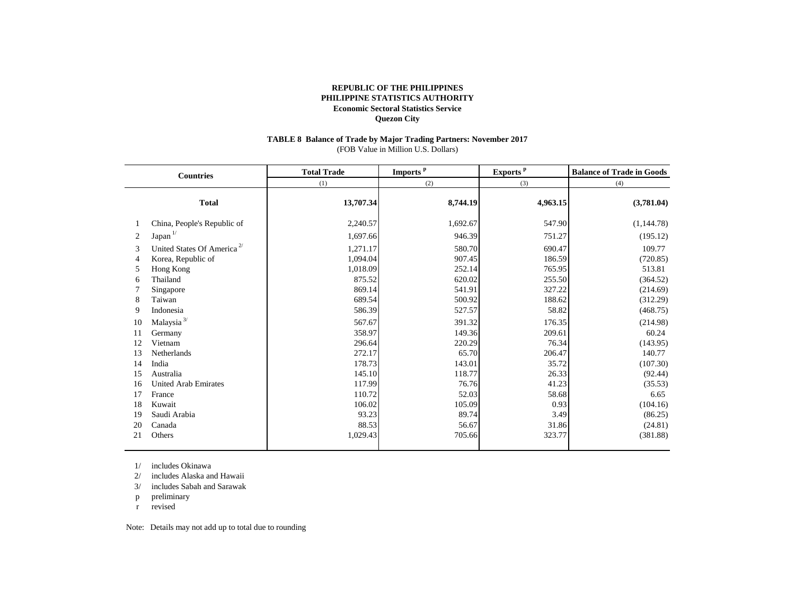#### **TABLE 8 Balance of Trade by Major Trading Partners: November 2017** (FOB Value in Million U.S. Dollars)

|                | <b>Countries</b>                       | <b>Total Trade</b> | Imports <sup>p</sup> | Exports <sup>p</sup> | <b>Balance of Trade in Goods</b> |
|----------------|----------------------------------------|--------------------|----------------------|----------------------|----------------------------------|
|                |                                        | (1)                | (2)                  | (3)                  | (4)                              |
|                | <b>Total</b>                           | 13,707.34          | 8,744.19             | 4,963.15             | (3,781.04)                       |
|                | China, People's Republic of            | 2,240.57           | 1,692.67             | 547.90               | (1,144.78)                       |
| 2              | Japan <sup>1/</sup>                    | 1,697.66           | 946.39               | 751.27               | (195.12)                         |
| 3              | United States Of America <sup>2/</sup> | 1,271.17           | 580.70               | 690.47               | 109.77                           |
| $\overline{4}$ | Korea, Republic of                     | 1,094.04           | 907.45               | 186.59               | (720.85)                         |
| 5              | Hong Kong                              | 1,018.09           | 252.14               | 765.95               | 513.81                           |
| 6              | Thailand                               | 875.52             | 620.02               | 255.50               | (364.52)                         |
|                | Singapore                              | 869.14             | 541.91               | 327.22               | (214.69)                         |
| 8              | Taiwan                                 | 689.54             | 500.92               | 188.62               | (312.29)                         |
| 9              | Indonesia                              | 586.39             | 527.57               | 58.82                | (468.75)                         |
| 10             | Malaysia $^{3\prime}$                  | 567.67             | 391.32               | 176.35               | (214.98)                         |
| 11             | Germany                                | 358.97             | 149.36               | 209.61               | 60.24                            |
| 12             | Vietnam                                | 296.64             | 220.29               | 76.34                | (143.95)                         |
| 13             | Netherlands                            | 272.17             | 65.70                | 206.47               | 140.77                           |
| 14             | India                                  | 178.73             | 143.01               | 35.72                | (107.30)                         |
| 15             | Australia                              | 145.10             | 118.77               | 26.33                | (92.44)                          |
| 16             | <b>United Arab Emirates</b>            | 117.99             | 76.76                | 41.23                | (35.53)                          |
| 17             | France                                 | 110.72             | 52.03                | 58.68                | 6.65                             |
| 18             | Kuwait                                 | 106.02             | 105.09               | 0.93                 | (104.16)                         |
| 19             | Saudi Arabia                           | 93.23              | 89.74                | 3.49                 | (86.25)                          |
| 20             | Canada                                 | 88.53              | 56.67                | 31.86                | (24.81)                          |
| 21             | Others                                 | 1,029.43           | 705.66               | 323.77               | (381.88)                         |
|                |                                        |                    |                      |                      |                                  |

1/ includes Okinawa

2/ includes Alaska and Hawaii

3/ includes Sabah and Sarawak

p preliminary

r revised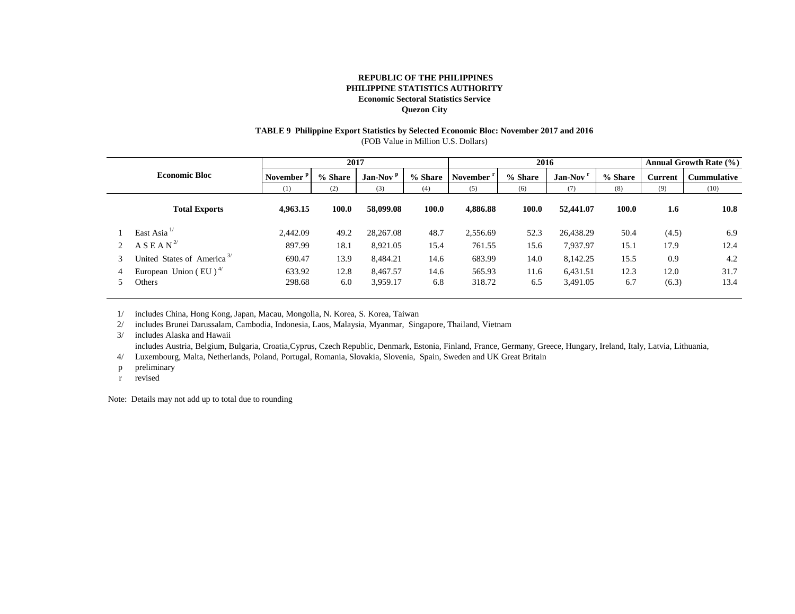## **TABLE 9 Philippine Export Statistics by Selected Economic Bloc: November 2017 and 2016**

(FOB Value in Million U.S. Dollars)

|   |                                                | 2017                  |         |                      | 2016    |          |         |                      | <b>Annual Growth Rate (%)</b> |                |                    |
|---|------------------------------------------------|-----------------------|---------|----------------------|---------|----------|---------|----------------------|-------------------------------|----------------|--------------------|
|   | <b>Economic Bloc</b>                           | November <sup>1</sup> | % Share | Jan-Nov <sup>p</sup> | % Share | November | % Share | Jan-Nov <sup>r</sup> | % Share                       | <b>Current</b> | <b>Cummulative</b> |
|   |                                                | (1)                   | (2)     | (3)                  | (4)     | (5)      | (6)     | (7)                  | (8)                           | (9)            | (10)               |
|   | <b>Total Exports</b>                           | 4,963.15              | 100.0   | 58,099.08            | 100.0   | 4.886.88 | 100.0   | 52,441.07            | 100.0                         | 1.6            | 10.8               |
|   | East Asia $^{1/}$                              | 2.442.09              | 49.2    | 28,267.08            | 48.7    | 2,556.69 | 52.3    | 26,438.29            | 50.4                          | (4.5)          | 6.9                |
|   | A S E A N <sup>2</sup>                         | 897.99                | 18.1    | 8,921.05             | 15.4    | 761.55   | 15.6    | 7,937.97             | 15.1                          | 17.9           | 12.4               |
| 3 | United States of America <sup>3/</sup>         | 690.47                | 13.9    | 8,484.21             | 14.6    | 683.99   | 14.0    | 8,142.25             | 15.5                          | 0.9            | 4.2                |
|   | European Union (EU) <sup><math>4/</math></sup> | 633.92                | 12.8    | 8,467.57             | 14.6    | 565.93   | 11.6    | 6,431.51             | 12.3                          | 12.0           | 31.7               |
|   | Others                                         | 298.68                | 6.0     | 3,959.17             | 6.8     | 318.72   | 6.5     | 3,491.05             | 6.7                           | (6.3)          | 13.4               |

1/ includes China, Hong Kong, Japan, Macau, Mongolia, N. Korea, S. Korea, Taiwan

2/ includes Brunei Darussalam, Cambodia, Indonesia, Laos, Malaysia, Myanmar, Singapore, Thailand, Vietnam

3/ includes Alaska and Hawaii

includes Austria, Belgium, Bulgaria, Croatia,Cyprus, Czech Republic, Denmark, Estonia, Finland, France, Germany, Greece, Hungary, Ireland, Italy, Latvia, Lithuania,

4/ Luxembourg, Malta, Netherlands, Poland, Portugal, Romania, Slovakia, Slovenia, Spain, Sweden and UK Great Britain

- p preliminary
- r revised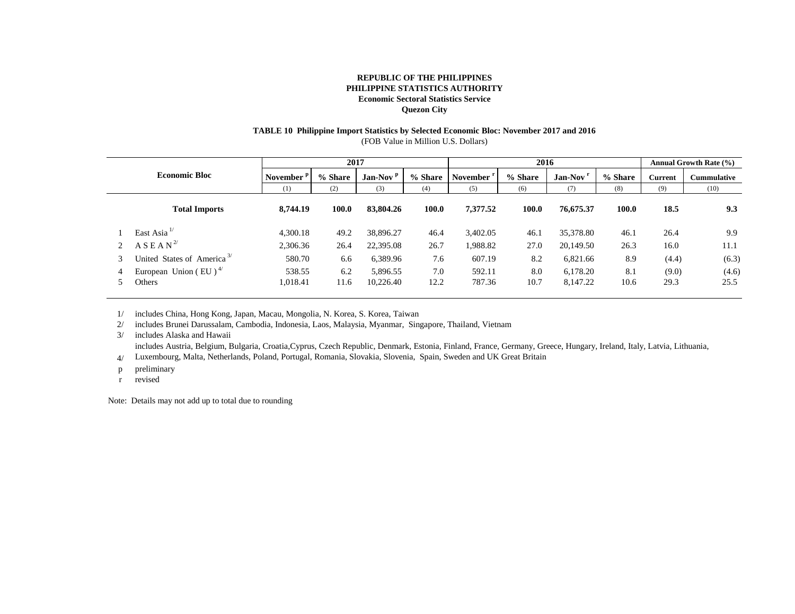## **TABLE 10 Philippine Import Statistics by Selected Economic Bloc: November 2017 and 2016**

(FOB Value in Million U.S. Dollars)

|   |                                                          | 2017                  |             |                       |             | 2016             |             |                      |             | Annual Growth Rate (%) |                    |
|---|----------------------------------------------------------|-----------------------|-------------|-----------------------|-------------|------------------|-------------|----------------------|-------------|------------------------|--------------------|
|   | <b>Economic Bloc</b>                                     | November <sup>1</sup> | % Share     | Jan-Nov $P$           | % Share     | <b>November</b>  | % Share     | Jan-Nov              | % Share     | Current                | <b>Cummulative</b> |
|   |                                                          | (1)                   | (2)         | (3)                   | (4)         | (5)              | (6)         | (7)                  | (8)         | (9)                    | (10)               |
|   | <b>Total Imports</b>                                     | 8,744.19              | 100.0       | 83,804.26             | 100.0       | 7.377.52         | 100.0       | 76,675.37            | 100.0       | 18.5                   | 9.3                |
|   | East Asia $^{1/}$                                        | 4.300.18              | 49.2        | 38,896.27             | 46.4        | 3,402.05         | 46.1        | 35,378.80            | 46.1        | 26.4                   | 9.9                |
|   | A S E A N <sup>2</sup>                                   | 2,306.36              | 26.4        | 22,395.08             | 26.7        | .988.82          | 27.0        | 20,149.50            | 26.3        | 16.0                   | 11.1               |
| 3 | United States of America <sup>3/</sup>                   | 580.70                | 6.6         | 6,389.96              | 7.6         | 607.19           | 8.2         | 6,821.66             | 8.9         | (4.4)                  | (6.3)              |
|   | European Union (EU) <sup><math>4/</math></sup><br>Others | 538.55<br>1,018.41    | 6.2<br>11.6 | 5,896.55<br>10,226.40 | 7.0<br>12.2 | 592.11<br>787.36 | 8.0<br>10.7 | 6.178.20<br>8,147.22 | 8.1<br>10.6 | (9.0)<br>29.3          | (4.6)<br>25.5      |

1/ includes China, Hong Kong, Japan, Macau, Mongolia, N. Korea, S. Korea, Taiwan

2/ includes Brunei Darussalam, Cambodia, Indonesia, Laos, Malaysia, Myanmar, Singapore, Thailand, Vietnam

3/ includes Alaska and Hawaii

includes Austria, Belgium, Bulgaria, Croatia,Cyprus, Czech Republic, Denmark, Estonia, Finland, France, Germany, Greece, Hungary, Ireland, Italy, Latvia, Lithuania,

4/ Luxembourg, Malta, Netherlands, Poland, Portugal, Romania, Slovakia, Slovenia, Spain, Sweden and UK Great Britain

p preliminary

r revised